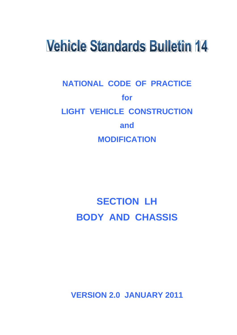# **Vehicle Standards Bulletin 14**

# **NATIONAL CODE OF PRACTICE for LIGHT VEHICLE CONSTRUCTION and MODIFICATION**

# **SECTION LH BODY AND CHASSIS**

**VERSION 2.0 JANUARY 2011**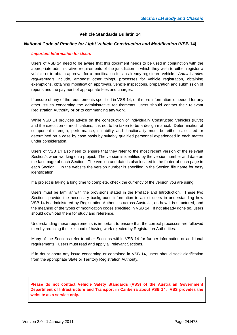#### **Vehicle Standards Bulletin 14**

#### *National Code of Practice for Light Vehicle Construction and Modification* **(VSB 14)**

#### *Important Information for Users*

Users of VSB 14 need to be aware that this document needs to be used in conjunction with the appropriate administrative requirements of the jurisdiction in which they wish to either register a vehicle or to obtain approval for a modification for an already registered vehicle. *Administrative requirements* include, amongst other things, processes for vehicle registration, obtaining exemptions, obtaining modification approvals, vehicle inspections, preparation and submission of reports and the payment of appropriate fees and charges.

If unsure of any of the requirements specified in VSB 14, or if more information is needed for any other issues concerning the administrative requirements, users should contact their relevant Registration Authority **prior** to commencing any work.

While VSB 14 provides advice on the construction of Individually Constructed Vehicles (ICVs) and the execution of modifications, it is not to be taken to be a design manual. Determination of component strength, performance, suitability and functionality must be either calculated or determined on a case by case basis by suitably qualified personnel experienced in each matter under consideration.

Users of VSB 14 also need to ensure that they refer to the most recent version of the relevant Section/s when working on a project. The version is identified by the version number and date on the face page of each Section. The version and date is also located in the footer of each page in each Section. On the website the version number is specified in the Section file name for easy identification.

If a project is taking a long time to complete, check the currency of the version you are using.

Users must be familiar with the provisions stated in the Preface and Introduction. These two Sections provide the necessary background information to assist users in understanding how VSB 14 is administered by Registration Authorities across Australia, on how it is structured, and the meaning of the types of modification codes specified in VSB 14. If not already done so, users should download them for study and reference.

Understanding these requirements is important to ensure that the correct processes are followed thereby reducing the likelihood of having work rejected by Registration Authorities.

Many of the Sections refer to other Sections within VSB 14 for further information or additional requirements. Users must read and apply all relevant Sections.

If in doubt about any issue concerning or contained in VSB 14, users should seek clarification from the appropriate State or Territory Registration Authority.

**Please do not contact Vehicle Safety Standards (VSS) of the Australian Government Department of Infrastructure and Transport in Canberra about VSB 14. VSS provides the website as a service only.**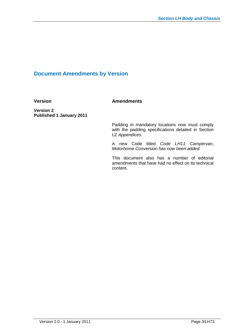# **Document Amendments by Version**

**Version Amendments** 

**Version 2 Published 1 January 2011**

> Padding in mandatory locations now must comply with the padding specifications detailed in Section LZ *Appendices*.

> A new Code titled *Code LH11 Campervan, Motorhome Conversion has now been added.*

> This document also has a number of editorial amendments that have had no effect on its technical content.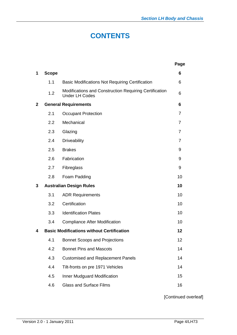# **CONTENTS**

|                |              |                                                                                 | Page           |
|----------------|--------------|---------------------------------------------------------------------------------|----------------|
| 1              | <b>Scope</b> |                                                                                 | 6              |
|                | 1.1          | <b>Basic Modifications Not Requiring Certification</b>                          | 6              |
|                | 1.2          | Modifications and Construction Requiring Certification<br><b>Under LH Codes</b> | 6              |
| $\overline{2}$ |              | <b>General Requirements</b>                                                     | 6              |
|                | 2.1          | <b>Occupant Protection</b>                                                      | $\overline{7}$ |
|                | 2.2          | Mechanical                                                                      | $\overline{7}$ |
|                | 2.3          | Glazing                                                                         | $\overline{7}$ |
|                | 2.4          | <b>Driveability</b>                                                             | 7              |
|                | 2.5          | <b>Brakes</b>                                                                   | 9              |
|                | 2.6          | Fabrication                                                                     | 9              |
|                | 2.7          | Fibreglass                                                                      | 9              |
|                | 2.8          | Foam Padding                                                                    | 10             |
| 3              |              | <b>Australian Design Rules</b>                                                  | 10             |
|                | 3.1          | <b>ADR Requirements</b>                                                         | 10             |
|                | 3.2          | Certification                                                                   | 10             |
|                | 3.3          | <b>Identification Plates</b>                                                    | 10             |
|                | 3.4          | <b>Compliance After Modification</b>                                            | 10             |
| 4              |              | <b>Basic Modifications without Certification</b>                                | 12             |
|                |              | 4.1 Bonnet Scoops and Projections                                               | 12             |
|                | 4.2          | <b>Bonnet Pins and Mascots</b>                                                  | 14             |
|                | 4.3          | <b>Customised and Replacement Panels</b>                                        | 14             |
|                | 4.4          | Tilt-fronts on pre 1971 Vehicles                                                | 14             |
|                | 4.5          | Inner Mudguard Modification                                                     | 15             |
|                | 4.6          | <b>Glass and Surface Films</b>                                                  | 16             |

[Continued overleaf]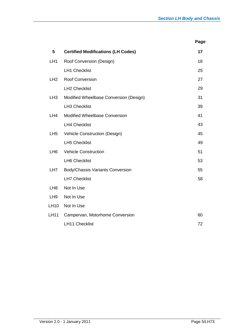**Page**

| 5               | <b>Certified Modifications (LH Codes)</b> | 17 |
|-----------------|-------------------------------------------|----|
| LH <sub>1</sub> | Roof Conversion (Design)                  | 18 |
|                 | <b>LH1 Checklist</b>                      | 25 |
| LH2             | <b>Roof Conversion</b>                    | 27 |
|                 | <b>LH2 Checklist</b>                      | 29 |
| LH <sub>3</sub> | Modified Wheelbase Conversion (Design)    | 31 |
|                 | <b>LH3 Checklist</b>                      | 39 |
| LH4             | <b>Modified Wheelbase Conversion</b>      | 41 |
|                 | <b>LH4 Checklist</b>                      | 43 |
| LH <sub>5</sub> | Vehicle Construction (Design)             | 45 |
|                 | <b>LH5 Checklist</b>                      | 49 |
| LH <sub>6</sub> | <b>Vehicle Construction</b>               | 51 |
|                 | <b>LH6 Checklist</b>                      | 53 |
| LH <sub>7</sub> | Body/Chassis Variants Conversion          | 55 |
|                 | <b>LH7 Checklist</b>                      | 58 |
| LH <sub>8</sub> | Not In Use                                |    |
| LH <sub>9</sub> | Not In Use                                |    |
| <b>LH10</b>     | Not In Use                                |    |
| <b>LH11</b>     | Campervan, Motorhome Conversion           | 60 |
|                 | <b>LH11 Checklist</b>                     | 72 |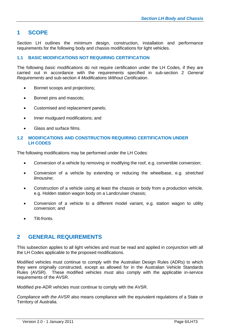# **1 SCOPE**

Section LH outlines the minimum design, construction, installation and performance requirements for the following body and chassis modifications for light vehicles.

#### **1.1 BASIC MODIFICATIONS NOT REQUIRING CERTIFICATION**

The following *basic modifications* do not require certification under the LH Codes, if they are carried out in accordance with the requirements specified in sub-section 2 *General Requirements* and sub-section 4 *Modifications Without Certification*.

- Bonnet scoops and projections;
- Bonnet pins and mascots;
- Customised and replacement panels;
- Inner mudguard modifications; and
- Glass and surface films.

#### **1.2 MODIFICATIONS AND CONSTRUCTION REQUIRING CERTIFICATION UNDER LH CODES**

The following modifications may be performed under the LH Codes:

- Conversion of a vehicle by removing or modifying the roof, e.g. convertible conversion;
- Conversion of a vehicle by extending or reducing the wheelbase, e.g. *stretched limousine*;
- Construction of a vehicle using at least the chassis or body from a production vehicle, e.g. Holden station wagon body on a Landcruiser chassis;
- Conversion of a vehicle to a different model variant, e.g. station wagon to utility conversion; and
- Tilt-fronts.

# **2 GENERAL REQUIREMENTS**

This subsection applies to all light vehicles and must be read and applied in conjunction with all the LH Codes applicable to the proposed modifications.

Modified vehicles must continue to comply with the Australian Design Rules (ADRs) to which they were originally constructed, except as allowed for in the Australian Vehicle Standards Rules (AVSR). These modified vehicles must also comply with the applicable in-service requirements of the AVSR.

Modified pre-ADR vehicles must continue to comply with the AVSR.

*Compliance with the AVSR* also means compliance with the equivalent regulations of a State or Territory of Australia.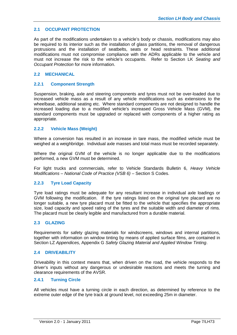### **2.1 OCCUPANT PROTECTION**

As part of the modifications undertaken to a vehicle's body or chassis, modifications may also be required to its interior such as the installation of glass partitions, the removal of dangerous protrusions and the installation of seatbelts, seats or head restraints. These additional modifications must not compromise compliance with the ADRs applicable to the vehicle and must not increase the risk to the vehicle's occupants. Refer to Section LK *Seating and Occupant Protection* for more information.

#### **2.2 MECHANICAL**

#### **2.2.1 Component Strength**

Suspension, braking, axle and steering components and tyres must not be over-loaded due to increased vehicle mass as a result of any vehicle modifications such as extensions to the wheelbase, additional seating etc. Where standard components are not designed to handle the increased loading due to a modified vehicle's increased Gross Vehicle Mass (GVM), the standard components must be upgraded or replaced with components of a higher rating as appropriate.

#### **2.2.2 Vehicle Mass (Weight)**

Where a conversion has resulted in an increase in tare mass, the modified vehicle must be weighed at a weighbridge. Individual axle masses and total mass must be recorded separately.

Where the original GVM of the vehicle is no longer applicable due to the modifications performed, a new GVM must be determined.

For light trucks and commercials, refer to Vehicle Standards Bulletin 6, *Heavy Vehicle Modifications – National Code of Practice (VSB 6)* – Section S Codes.

#### **2.2.3 Tyre Load Capacity**

Tyre load ratings must be adequate for any resultant increase in individual axle loadings or GVM following the modification. If the tyre ratings listed on the original tyre placard are no longer suitable, a new tyre placard must be fitted to the vehicle that specifies the appropriate size, load capacity and speed rating of the tyres and the suitable width and diameter of rims. The placard must be clearly legible and manufactured from a durable material.

#### **2.3 GLAZING**

Requirements for safety glazing materials for windscreens, windows and internal partitions, together with information on window tinting by means of applied surface films, are contained in Section LZ *Appendices,* Appendix G *Safety Glazing Material and Applied Window Tinting*.

#### **2.4 DRIVEABILITY**

Driveability in this context means that, when driven on the road, the vehicle responds to the driver's inputs without any dangerous or undesirable reactions and meets the turning and clearance requirements of the AVSR.

#### **2.4.1 Turning Circle**

All vehicles must have a turning circle in each direction, as determined by reference to the extreme outer edge of the tyre track at ground level, not exceeding 25m in diameter.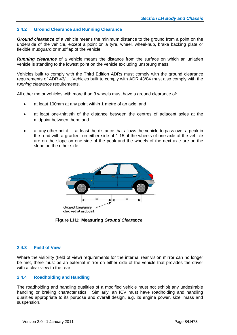#### **2.4.2 Ground Clearance and Running Clearance**

*Ground clearance* of a vehicle means the minimum distance to the ground from a point on the underside of the vehicle, except a point on a tyre, wheel, wheel-hub, brake backing plate or flexible mudguard or mudflap of the vehicle.

*Running clearance* of a vehicle means the distance from the surface on which an unladen vehicle is standing to the lowest point on the vehicle excluding unsprung mass.

Vehicles built to comply with the Third Edition ADRs must comply with the ground clearance requirements of ADR 43/…. Vehicles built to comply with ADR 43/04 must also comply with the *running clearance* requirements.

All other motor vehicles with more than 3 wheels must have a ground clearance of:

- at least 100mm at any point within 1 metre of an axle; and
- at least one-thirtieth of the distance between the centres of adjacent axles at the midpoint between them; and
- at any other point at least the distance that allows the vehicle to pass over a peak in the road with a gradient on either side of 1:15, if the wheels of one axle of the vehicle are on the slope on one side of the peak and the wheels of the next axle are on the slope on the other side.



**Figure LH1: Measuring** *Ground Clearance*

#### **2.4.3 Field of View**

Where the visibility (field of view) requirements for the internal rear vision mirror can no longer be met, there must be an external mirror on either side of the vehicle that provides the driver with a clear view to the rear.

#### **2.4.4 Roadholding and Handling**

The roadholding and handling qualities of a modified vehicle must not exhibit any undesirable handling or braking characteristics. Similarly, an ICV must have roadholding and handling qualities appropriate to its purpose and overall design, e.g. its engine power, size, mass and suspension.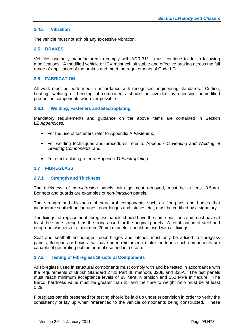#### **2.4.5 Vibration**

The vehicle must not exhibit any excessive vibration.

#### **2.5 BRAKES**

Vehicles originally manufactured to comply with ADR 31/… must continue to do so following modifications. A modified vehicle or ICV must exhibit stable and effective braking across the full range of application of the brakes and meet the requirements of Code LG.

#### **2.6 FABRICATION**

All work must be performed in accordance with recognised engineering standards. Cutting, heating, welding or bending of components should be avoided by choosing unmodified production components wherever possible.

#### **2.6.1 Welding, Fasteners and Electroplating**

Mandatory requirements and guidance on the above items are contained in Section LZ *Appendices.*

- For the use of fasteners refer to Appendix A *Fasteners;*
- For welding techniques and procedures refer to Appendix C *Heating and Welding of Steering Components*; and
- For electroplating refer to Appendix D *Electroplating*.

#### **2.7 FIBREGLASS**

#### **2.7.1 Strength and Thickness**

The thickness, of *non-intrusion* panels, with gel coat removed, must be at least 3.5mm. Bonnets and guards are examples of *non-intrusion* panels.

The strength and thickness of structural components such as floorpans and bodies that incorporate seatbelt anchorages, door hinges and latches etc., must be certified by a signatory.

The fixings for replacement fibreglass panels should have the same positions and must have at least the same strength as the fixings used for the original panels. A combination of steel and neoprene washers of a minimum 20mm diameter should be used with all fixings.

Seat and seatbelt anchorages, door hinges and latches must only be affixed to fibreglass panels, floorpans or bodies that have been reinforced to take the loads such components are capable of generating both in normal use and in a crash.

#### **2.7.2 Testing of Fibreglass Structural Components**

All fibreglass used in structural components must comply with and be tested in accordance with the requirements of British Standard 2782 Part III, methods 320E and 335A. The test panels must reach minimum acceptance levels of 85 MPa in tension and 152 MPa in flexure. The Barcol hardness value must be greater than 25 and the fibre to weight ratio must be at least 0.29.

Fibreglass panels presented for testing should be laid up under supervision in order to verify the consistency of lay up when referenced to the vehicle components being constructed. These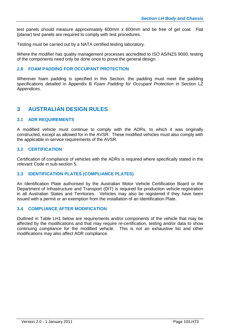test panels should measure approximately 600mm x 600mm and be free of gel coat. Flat (planar) test panels are required to comply with test procedures.

Testing must be carried out by a NATA certified testing laboratory.

Where the modifier has quality management processes accredited to ISO AS/NZS 9000, testing of the components need only be done once to prove the general design.

#### **2.8 FOAM PADDING FOR OCCUPANT PROTECTION**

Wherever foam padding is specified in this Section, the padding must meet the padding specifications detailed in Appendix B *Foam Padding for Occupant Protection* in Section LZ *Appendices*.

# **3 AUSTRALIAN DESIGN RULES**

#### **3.1 ADR REQUIREMENTS**

A modified vehicle must continue to comply with the ADRs, to which it was originally constructed, except as allowed for in the AVSR. These modified vehicles must also comply with the applicable in-service requirements of the AVSR.

#### **3.2 CERTIFICATION**

Certification of compliance of vehicles with the ADRs is required where specifically stated in the relevant Code in sub-section 5.

#### **3.3 IDENTIFICATION PLATES (COMPLIANCE PLATES)**

An Identification Plate authorised by the Australian Motor Vehicle Certification Board or the Department of Infrastructure and Transport (DIT) is required for production vehicle registration in all Australian States and Territories. Vehicles may also be registered if they have been issued with a permit or an exemption from the installation of an Identification Plate.

#### **3.4 COMPLIANCE AFTER MODIFICATION**

Outlined in Table LH1 below are requirements and/or components of the vehicle that may be affected by the modifications and that may require re-certification, testing and/or data to show continuing compliance for the modified vehicle. This is not an exhaustive list and other modifications may also affect ADR compliance.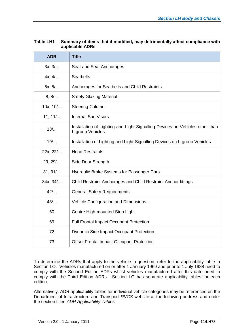| <b>ADR</b> | <b>Title</b>                                                                                     |
|------------|--------------------------------------------------------------------------------------------------|
| 3x, 3/     | Seat and Seat Anchorages                                                                         |
| 4x, 4/     | <b>Seatbelts</b>                                                                                 |
| 5x, 5/     | Anchorages for Seatbelts and Child Restraints                                                    |
| 8, 8/      | <b>Safety Glazing Material</b>                                                                   |
| 10x, 10/   | <b>Steering Column</b>                                                                           |
| 11, 11/    | <b>Internal Sun Visors</b>                                                                       |
| 13/        | Installation of Lighting and Light Signalling Devices on Vehicles other than<br>L-group Vehicles |
| 19/        | Installation of Lighting and Light-Signalling Devices on L-group Vehicles                        |
| 22x, 22/   | <b>Head Restraints</b>                                                                           |
| 29, 29/    | Side Door Strength                                                                               |
| 31, 31/    | Hydraulic Brake Systems for Passenger Cars                                                       |
| 34x, 34/   | Child Restraint Anchorages and Child Restraint Anchor fittings                                   |
| 42/        | <b>General Safety Requirements</b>                                                               |
| 43/        | Vehicle Configuration and Dimensions                                                             |
| 60         | Centre High-mounted Stop Light                                                                   |
| 69         | <b>Full Frontal Impact Occupant Protection</b>                                                   |
| 72         | <b>Dynamic Side Impact Occupant Protection</b>                                                   |
| 73         | <b>Offset Frontal Impact Occupant Protection</b>                                                 |

#### **Table LH1 Summary of items that if modified, may detrimentally affect compliance with applicable ADRs**

To determine the ADRs that apply to the vehicle in question, refer to the applicability table in Section LO. Vehicles manufactured on or after 1 January 1969 and prior to 1 July 1988 need to comply with the Second Edition ADRs whilst vehicles manufactured after this date need to comply with the Third Edition ADRs. Section LO has separate applicability tables for each edition.

Alternatively, ADR applicability tables for individual vehicle categories may be referenced on the Department of Infrastructure and Transport *RVCS* website at the following address and under the section titled *ADR Applicability Tables*: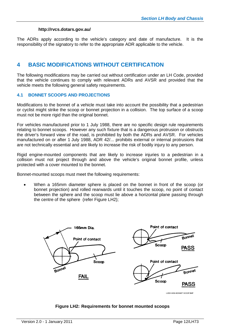#### **http://rvcs.dotars.gov.au/**

The ADRs apply according to the vehicle's category and date of manufacture. It is the responsibility of the signatory to refer to the appropriate ADR applicable to the vehicle.

# **4 BASIC MODIFICATIONS WITHOUT CERTIFICATION**

The following modifications may be carried out without certification under an LH Code, provided that the vehicle continues to comply with relevant ADRs and AVSR and provided that the vehicle meets the following general safety requirements.

#### **4.1 BONNET SCOOPS AND PROJECTIONS**

Modifications to the bonnet of a vehicle must take into account the possibility that a pedestrian or cyclist might strike the scoop or bonnet projection in a collision. The top surface of a scoop must not be more rigid than the original bonnet.

For vehicles manufactured prior to 1 July 1988, there are no specific design rule requirements relating to bonnet scoops. However any such fixture that is a dangerous protrusion or obstructs the driver's forward view of the road, is prohibited by both the ADRs and AVSR. For vehicles manufactured on or after 1 July 1988, ADR 42/... prohibits external or internal protrusions that are not technically essential and are likely to increase the risk of bodily injury to any person.

Rigid engine-mounted components that are likely to increase injuries to a pedestrian in a collision must not project through and above the vehicle's original bonnet profile, unless protected with a cover mounted to the bonnet.

Bonnet-mounted scoops must meet the following requirements:

 When a 165mm diameter sphere is placed on the bonnet in front of the scoop (or bonnet projection) and rolled rearwards until it touches the scoop, no point of contact between the sphere and the scoop must lie above a horizontal plane passing through the centre of the sphere (refer Figure LH2);



#### **Figure LH2: Requirements for bonnet mounted scoops**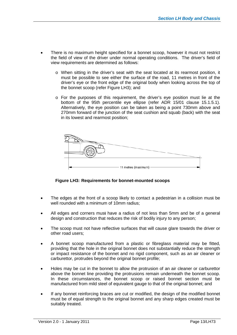- There is no maximum height specified for a bonnet scoop, however it must not restrict the field of view of the driver under normal operating conditions. The driver's field of view requirements are determined as follows:
	- o When sitting in the driver's seat with the seat located at its rearmost position, it must be possible to see either the surface of the road, 11 metres in front of the driver's eye or the front edge of the original body when looking across the top of the bonnet scoop (refer Figure LH3); and
	- o For the purposes of this requirement, the driver's eye position must lie at the bottom of the 95th percentile eye ellipse (refer ADR 15/01 clause 15.1.5.1). Alternatively, the eye position can be taken as being a point 730mm above and 270mm forward of the junction of the seat cushion and squab (back) with the seat in its lowest and rearmost position;



**Figure LH3: Requirements for bonnet-mounted scoops**

- The edges at the front of a scoop likely to contact a pedestrian in a collision must be well rounded with a minimum of 10mm radius;
- All edges and corners must have a radius of not less than 5mm and be of a general design and construction that reduces the risk of bodily injury to any person;
- The scoop must not have reflective surfaces that will cause glare towards the driver or other road users;
- A bonnet scoop manufactured from a plastic or fibreglass material may be fitted, providing that the hole in the original bonnet does not substantially reduce the strength or impact resistance of the bonnet and no rigid component, such as an air cleaner or carburettor, protrudes beyond the original bonnet profile;
- Holes may be cut in the bonnet to allow the protrusion of an air cleaner or carburettor above the bonnet line providing the protrusions remain underneath the bonnet scoop. In these circumstances, the bonnet scoop or raised bonnet section must be manufactured from mild steel of equivalent gauge to that of the original bonnet; and
- If any bonnet reinforcing braces are cut or modified, the design of the modified bonnet must be of equal strength to the original bonnet and any sharp edges created must be suitably treated.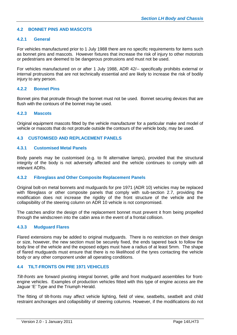#### **4.2 BONNET PINS AND MASCOTS**

#### **4.2.1 General**

For vehicles manufactured prior to 1 July 1988 there are no specific requirements for items such as bonnet pins and mascots. However fixtures that increase the risk of injury to other motorists or pedestrians are deemed to be dangerous protrusions and must not be used.

For vehicles manufactured on or after 1 July 1988, ADR 42/-- specifically prohibits external or internal protrusions that are not technically essential and are likely to increase the risk of bodily injury to any person.

#### **4.2.2 Bonnet Pins**

Bonnet pins that protrude through the bonnet must not be used. Bonnet securing devices that are flush with the contours of the bonnet may be used.

#### **4.2.3 Mascots**

Original equipment mascots fitted by the vehicle manufacturer for a particular make and model of vehicle or mascots that do not protrude outside the contours of the vehicle body, may be used.

#### **4.3 CUSTOMISED AND REPLACEMENT PANELS**

#### **4.3.1 Customised Metal Panels**

Body panels may be customised (e.g. to fit alternative lamps), provided that the structural integrity of the body is not adversely affected and the vehicle continues to comply with all relevant ADRs.

#### **4.3.2 Fibreglass and Other Composite Replacement Panels**

Original bolt-on metal bonnets and mudguards for pre 1971 (ADR 10) vehicles may be replaced with fibreglass or other composite panels that comply with sub-section 2.7, providing the modification does not increase the rigidity of the front structure of the vehicle and the collapsibility of the steering column on ADR 10 vehicle is not compromised.

The catches and/or the design of the replacement bonnet must prevent it from being propelled through the windscreen into the cabin area in the event of a frontal collision.

#### **4.3.3 Mudguard Flares**

Flared extensions may be added to original mudguards. There is no restriction on their design or size, however, the new section must be securely fixed, the ends tapered back to follow the body line of the vehicle and the exposed edges must have a radius of at least 5mm. The shape of flared mudguards must ensure that there is no likelihood of the tyres contacting the vehicle body or any other component under all operating conditions.

#### **4.4 TILT-FRONTS ON PRE 1971 VEHICLES**

*Tilt-fronts* are forward pivoting integral bonnet, grille and front mudguard assemblies for frontengine vehicles. Examples of production vehicles fitted with this type of engine access are the Jaguar 'E' Type and the Triumph Herald.

The fitting of tilt-fronts may affect vehicle lighting, field of view, seatbelts, seatbelt and child restraint anchorages and collapsibility of steering columns. However, if the modifications do not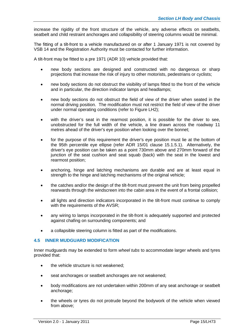increase the rigidity of the front structure of the vehicle, any adverse effects on seatbelts, seatbelt and child restraint anchorages and collapsibility of steering columns would be minimal.

The fitting of a tilt-front to a vehicle manufactured on or after 1 January 1971 is not covered by VSB 14 and the Registration Authority must be contacted for further information.

A tilt-front may be fitted to a pre 1971 (ADR 10) vehicle provided that:

- new body sections are designed and constructed with no dangerous or sharp projections that increase the risk of injury to other motorists, pedestrians or cyclists;
- new body sections do not obstruct the visibility of lamps fitted to the front of the vehicle and in particular, the direction indicator lamps and headlamps;
- new body sections do not obstruct the field of view of the driver when seated in the normal driving position. The modification must not restrict the field of view of the driver under normal operating conditions (refer to Figure LH2);
- with the driver's seat in the rearmost position, it is possible for the driver to see, unobstructed for the full width of the vehicle, a line drawn across the roadway 11 metres ahead of the driver's eye position when looking over the bonnet;
- for the purpose of this requirement the driver's eye position must lie at the bottom of the 95th percentile eye ellipse (refer ADR 15/01 clause 15.1.5.1). Alternatively, the driver's eye position can be taken as a point 730mm above and 270mm forward of the junction of the seat cushion and seat squab (back) with the seat in the lowest and rearmost position;
- anchoring, hinge and latching mechanisms are durable and are at least equal in strength to the hinge and latching mechanisms of the original vehicle;
- the catches and/or the design of the tilt-front must prevent the unit from being propelled rearwards through the windscreen into the cabin area in the event of a frontal collision;
- all lights and direction indicators incorporated in the tilt-front must continue to comply with the requirements of the AVSR;
- any wiring to lamps incorporated in the tilt-front is adequately supported and protected against chafing on surrounding components; and
- a collapsible steering column is fitted as part of the modifications.

#### **4.5 INNER MUDGUARD MODIFICATION**

Inner mudguards may be extended to form *wheel tubs* to accommodate larger wheels and tyres provided that:

- the vehicle structure is not weakened;
- seat anchorages or seatbelt anchorages are not weakened;
- body modifications are not undertaken within 200mm of any seat anchorage or seatbelt anchorage;
- the wheels or tyres do not protrude beyond the bodywork of the vehicle when viewed from above;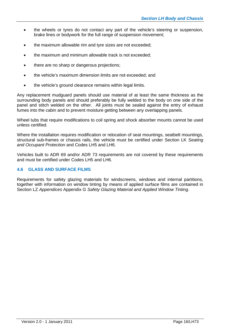- the wheels or tyres do not contact any part of the vehicle's steering or suspension, brake lines or bodywork for the full range of suspension movement;
- the maximum allowable rim and tyre sizes are not exceeded;
- the maximum and minimum allowable track is not exceeded;
- there are no sharp or dangerous projections;
- the vehicle's maximum dimension limits are not exceeded; and
- the vehicle's ground clearance remains within legal limits.

Any replacement mudguard panels should use material of at least the same thickness as the surrounding body panels and should preferably be fully welded to the body on one side of the panel and stitch welded on the other. All joints must be sealed against the entry of exhaust fumes into the cabin and to prevent moisture getting between any overlapping panels.

Wheel tubs that require modifications to coil spring and shock absorber mounts cannot be used unless certified.

Where the installation requires modification or relocation of seat mountings, seatbelt mountings, structural sub-frames or chassis rails, the vehicle must be certified under Section LK *Seating and Occupant Protection* and Codes LH5 and LH6.

Vehicles built to ADR 69 and/or ADR 73 requirements are not covered by these requirements and must be certified under Codes LH5 and LH6.

#### **4.6 GLASS AND SURFACE FILMS**

Requirements for safety glazing materials for windscreens, windows and internal partitions, together with information on window tinting by means of applied surface films are contained in Section LZ *Appendices* Appendix G *Safety Glazing Material and Applied Window Tinting*.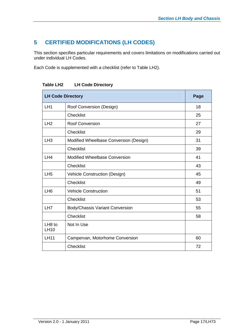# **5 CERTIFIED MODIFICATIONS (LH CODES)**

This section specifies particular requirements and covers limitations on modifications carried out under individual LH Codes.

Each Code is supplemented with a checklist (refer to Table LH2).

|                                   | <b>LH Code Directory</b>               |    |  |  |  |  |  |
|-----------------------------------|----------------------------------------|----|--|--|--|--|--|
| LH <sub>1</sub>                   | Roof Conversion (Design)               | 18 |  |  |  |  |  |
|                                   | <b>Checklist</b>                       | 25 |  |  |  |  |  |
| LH2                               | <b>Roof Conversion</b>                 | 27 |  |  |  |  |  |
|                                   | <b>Checklist</b>                       | 29 |  |  |  |  |  |
| LH <sub>3</sub>                   | Modified Wheelbase Conversion (Design) | 31 |  |  |  |  |  |
|                                   | <b>Checklist</b>                       | 39 |  |  |  |  |  |
| LH4                               | <b>Modified Wheelbase Conversion</b>   | 41 |  |  |  |  |  |
|                                   | <b>Checklist</b>                       | 43 |  |  |  |  |  |
| LH <sub>5</sub>                   | <b>Vehicle Construction (Design)</b>   | 45 |  |  |  |  |  |
|                                   | <b>Checklist</b>                       | 49 |  |  |  |  |  |
| LH <sub>6</sub>                   | <b>Vehicle Construction</b>            | 51 |  |  |  |  |  |
|                                   | <b>Checklist</b>                       | 53 |  |  |  |  |  |
| LH7                               | <b>Body/Chassis Variant Conversion</b> | 55 |  |  |  |  |  |
|                                   | <b>Checklist</b>                       | 58 |  |  |  |  |  |
| LH <sub>8</sub> to<br><b>LH10</b> | Not In Use                             |    |  |  |  |  |  |
| <b>LH11</b>                       | Campervan, Motorhome Conversion        | 60 |  |  |  |  |  |
|                                   | <b>Checklist</b>                       | 72 |  |  |  |  |  |

**Table LH2 LH Code Directory**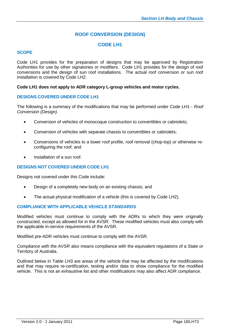# **ROOF CONVERSION (DESIGN)**

## **CODE LH1**

#### **SCOPE**

Code LH1 provides for the preparation of designs that may be approved by Registration Authorities for use by other signatories or modifiers. Code LH1 provides for the design of roof conversions and the design of sun roof installations. The actual roof conversion or sun roof installation is covered by Code LH2.

#### **Code LH1 does not apply to ADR category L-group vehicles and motor cycles.**

#### **DESIGNS COVERED UNDER CODE LH1**

The following is a summary of the modifications that may be performed under Code LH1 - *Roof Conversion (Design).*

- Conversion of vehicles of monocoque construction to convertibles or cabriolets;
- Conversion of vehicles with separate chassis to convertibles or cabriolets;
- Conversions of vehicles to a lower roof profile, roof removal (chop-top) or otherwise reconfiguring the roof; and
- Installation of a sun roof.

#### **DESIGNS NOT COVERED UNDER CODE LH1**

Designs not covered under this Code include:

- Design of a completely new body on an existing chassis; and
- The actual physical modification of a vehicle (this is covered by Code LH2).

#### **COMPLIANCE WITH APPLICABLE VEHICLE STANDARDS**

Modified vehicles must continue to comply with the ADRs to which they were originally constructed, except as allowed for in the AVSR. These modified vehicles must also comply with the applicable in-service requirements of the AVSR.

Modified pre-ADR vehicles must continue to comply with the AVSR.

*Compliance with the AVSR* also means compliance with the equivalent regulations of a State or Territory of Australia.

Outlined below in Table LH3 are areas of the vehicle that may be affected by the modifications and that may require re-certification, testing and/or data to show compliance for the modified vehicle. This is not an exhaustive list and other modifications may also affect ADR compliance.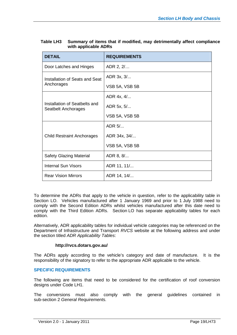| <b>DETAIL</b>                                        | <b>REQUIREMENTS</b> |
|------------------------------------------------------|---------------------|
| Door Latches and Hinges                              | ADR 2, 2/           |
| Installation of Seats and Seat                       | ADR 3x, 3/          |
| Anchorages                                           | VSB 5A, VSB 5B      |
|                                                      | ADR 4x, 4/          |
| Installation of Seatbelts and<br>Seatbelt Anchorages | ADR 5x, 5/          |
|                                                      | VSB 5A, VSB 5B      |
|                                                      | ADR 5/              |
| <b>Child Restraint Anchorages</b>                    | ADR 34x, 34/        |
|                                                      | VSB 5A, VSB 5B      |
| <b>Safety Glazing Material</b>                       | ADR 8, 8/           |
| <b>Internal Sun Visors</b>                           | ADR 11, 11/         |
| <b>Rear Vision Mirrors</b>                           | ADR 14, 14/         |

| Table LH3 | Summary of items that if modified, may detrimentally affect compliance |
|-----------|------------------------------------------------------------------------|
|           | with applicable ADRs                                                   |

To determine the ADRs that apply to the vehicle in question, refer to the applicability table in Section LO. Vehicles manufactured after 1 January 1969 and prior to 1 July 1988 need to comply with the Second Edition ADRs whilst vehicles manufactured after this date need to comply with the Third Edition ADRs. Section LO has separate applicability tables for each edition.

Alternatively, ADR applicability tables for individual vehicle categories may be referenced on the Department of Infrastructure and Transport *RVCS* website at the following address and under the section titled *ADR Applicability Tables*:

#### **http://rvcs.dotars.gov.au/**

The ADRs apply according to the vehicle's category and date of manufacture. It is the responsibility of the signatory to refer to the appropriate ADR applicable to the vehicle.

#### **SPECIFIC REQUIREMENTS**

The following are items that need to be considered for the certification of roof conversion designs under Code LH1.

The conversions must also comply with the general guidelines contained in sub-section 2 *General Requirements.*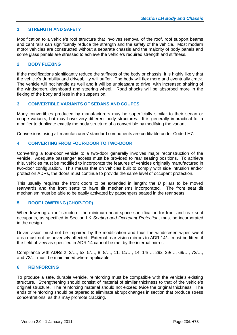#### **1 STRENGTH AND SAFETY**

Modification to a vehicle's roof structure that involves removal of the roof, roof support beams and cant rails can significantly reduce the strength and the safety of the vehicle. Most modern motor vehicles are constructed without a separate chassis and the majority of body panels and some glass panels are stressed to achieve the vehicle's required strength and stiffness.

#### **2 BODY FLEXING**

If the modifications significantly reduce the stiffness of the body or chassis, it is highly likely that the vehicle's durability and driveability will suffer. The body will flex more and eventually crack. The vehicle will not handle as well and it will be unpleasant to drive, with increased shaking of the windscreen, dashboard and steering wheel. Road shocks will be absorbed more in the flexing of the body and less in the suspension.

#### **3 CONVERTIBLE VARIANTS OF SEDANS AND COUPES**

Many convertibles produced by manufacturers may be superficially similar to their sedan or coupe variants, but may have very different body structures. It is generally impractical for a modifier to duplicate exactly the body structure of a convertible by modifying the variant.

Conversions using all manufacturers' standard components are certifiable under Code LH7.

#### **4 CONVERTING FROM FOUR-DOOR TO TWO-DOOR**

Converting a four-door vehicle to a two-door generally involves major reconstruction of the vehicle. Adequate passenger access must be provided to rear seating positions. To achieve this, vehicles must be modified to incorporate the features of vehicles originally manufactured in two-door configuration. This means that on vehicles built to comply with side intrusion and/or protection ADRs, the doors must continue to provide the same level of occupant protection.

This usually requires the front doors to be extended in length; the *B* pillars to be moved rearwards and the front seats to have tilt mechanisms incorporated. The front seat tilt mechanism must be able to be easily activated by passengers seated in the rear seats.

#### **5 ROOF LOWERING (CHOP-TOP)**

When lowering a roof structure, the minimum head space specification for front and rear seat occupants, as specified in Section LK *Seating and Occupant Protection*, must be incorporated in the design.

Driver vision must not be impaired by the modification and thus the windscreen wiper swept area must not be adversely affected. External rear vision mirrors to ADR 14/... must be fitted, if the field of view as specified in ADR 14 cannot be met by the internal mirror.

Compliance with ADRs 2, 2/…, 5x, 5/…, 8, 8/…, 11, 11/…, 14, 14/…, 29x, 29/…, 69/…, 72/…, and 73/… must be maintained where applicable.

#### **6 REINFORCING**

To produce a safe, durable vehicle, reinforcing must be compatible with the vehicle's existing structure. Strengthening should consist of material of similar thickness to that of the vehicle's original structure. The reinforcing material should not exceed twice the original thickness. The ends of reinforcing should be tapered to eliminate abrupt changes in section that produce stress concentrations, as this may promote cracking.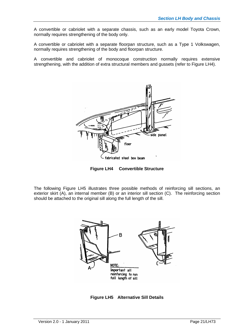A convertible or cabriolet with a separate chassis, such as an early model Toyota Crown, normally requires strengthening of the body only.

A convertible or cabriolet with a separate floorpan structure, such as a Type 1 Volkswagen, normally requires strengthening of the body and floorpan structure.

A convertible and cabriolet of monocoque construction normally requires extensive strengthening, with the addition of extra structural members and gussets (refer to Figure LH4).



**Figure LH4 Convertible Structure**

The following Figure LH5 illustrates three possible methods of reinforcing sill sections, an exterior skirt (A), an internal member (B) or an interior sill section (C). The reinforcing section should be attached to the original sill along the full length of the sill.



**Figure LH5 Alternative Sill Details**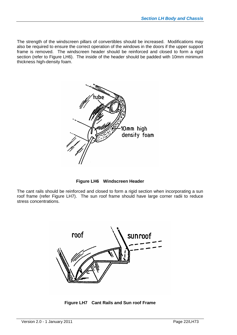The strength of the windscreen pillars of convertibles should be increased. Modifications may also be required to ensure the correct operation of the windows in the doors if the upper support frame is removed. The windscreen header should be reinforced and closed to form a rigid section (refer to Figure LH6). The inside of the header should be padded with 10mm minimum thickness high-density foam.



**Figure LH6 Windscreen Header**

The cant rails should be reinforced and closed to form a rigid section when incorporating a sun roof frame (refer Figure LH7). The sun roof frame should have large corner radii to reduce stress concentrations.



**Figure LH7 Cant Rails and Sun roof Frame**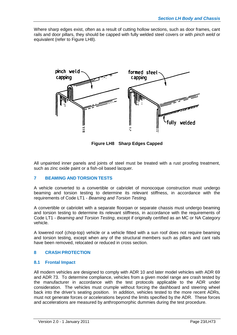Where sharp edges exist, often as a result of cutting hollow sections, such as door frames, cant rails and door pillars, they should be capped with fully welded steel covers or with *pinch weld* or equivalent (refer to Figure LH8).



**Figure LH8 Sharp Edges Capped**

All unpainted inner panels and joints of steel must be treated with a rust proofing treatment, such as zinc oxide paint or a fish-oil based lacquer.

### **7 BEAMING AND TORSION TESTS**

A vehicle converted to a convertible or cabriolet of monocoque construction must undergo beaming and torsion testing to determine its relevant stiffness, in accordance with the requirements of Code LT1 - *Beaming and Torsion Testing.*

A convertible or cabriolet with a separate floorpan or separate chassis must undergo beaming and torsion testing to determine its relevant stiffness, in accordance with the requirements of Code LT1 - *Beaming and Torsion Testing*, except if originally certified as an MC or NA Category vehicle.

A lowered roof (chop-top) vehicle or a vehicle fitted with a sun roof does not require beaming and torsion testing, except when any of the structural members such as pillars and cant rails have been removed, relocated or reduced in cross section.

#### **8 CRASH PROTECTION**

#### **8.1 Frontal Impact**

All modern vehicles are designed to comply with ADR 10 and later model vehicles with ADR 69 and ADR 73. To determine compliance, vehicles from a given model range are crash tested by the manufacturer in accordance with the test protocols applicable to the ADR under consideration. The vehicles must crumple without forcing the dashboard and steering wheel back into the driver's seating position. In addition, vehicles tested to the more recent ADRs, must not generate forces or accelerations beyond the limits specified by the ADR. These forces and accelerations are measured by anthropomorphic dummies during the test procedure.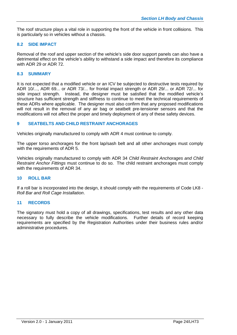The roof structure plays a vital role in supporting the front of the vehicle in front collisions. This is particularly so in vehicles without a chassis.

#### **8.2 SIDE IMPACT**

Removal of the roof and upper section of the vehicle's side door support panels can also have a detrimental effect on the vehicle's ability to withstand a side impact and therefore its compliance with ADR 29 or ADR 72.

#### **8.3 SUMMARY**

It is not expected that a modified vehicle or an ICV be subjected to destructive tests required by ADR 10/..., ADR 69... or ADR 73/... for frontal impact strength or ADR 29/... or ADR 72/... for side impact strength. Instead, the designer must be satisfied that the modified vehicle's structure has sufficient strength and stiffness to continue to meet the technical requirements of these ADRs where applicable. The designer must also confirm that any proposed modifications will not result in the removal of any air bag or seatbelt pre-tensioner sensors and that the modifications will not affect the proper and timely deployment of any of these safety devices.

#### **9 SEATBELTS AND CHILD RESTRAINT ANCHORAGES**

Vehicles originally manufactured to comply with ADR 4 must continue to comply.

The upper torso anchorages for the front lap/sash belt and all other anchorages must comply with the requirements of ADR 5.

Vehicles originally manufactured to comply with ADR 34 *Child Restraint Anchorages and Child Restraint Anchor Fittings* must continue to do so. The child restraint anchorages must comply with the requirements of ADR 34.

#### **10 ROLL BAR**

If a roll bar is incorporated into the design, it should comply with the requirements of Code LK8 - *Roll Bar and Roll Cage Installation*.

#### **11 RECORDS**

The signatory must hold a copy of all drawings, specifications, test results and any other data necessary to fully describe the vehicle modifications. Further details of record keeping requirements are specified by the Registration Authorities under their business rules and/or administrative procedures.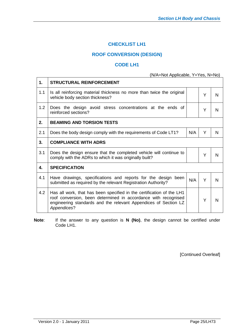# **CHECKLIST LH1**

# **ROOF CONVERSION (DESIGN)**

### **CODE LH1**

### (N/A=Not Applicable, Y=Yes, N=No)

| 1.  | <b>STRUCTURAL REINFORCEMENT</b>                                                                                                                                                                                           |     |   |   |  |  |  |
|-----|---------------------------------------------------------------------------------------------------------------------------------------------------------------------------------------------------------------------------|-----|---|---|--|--|--|
| 1.1 | Is all reinforcing material thickness no more than twice the original<br>Y<br>vehicle body section thickness?                                                                                                             |     |   |   |  |  |  |
| 1.2 | Does the design avoid stress concentrations at the ends of<br>reinforced sections?                                                                                                                                        |     | Y | N |  |  |  |
| 2.  | <b>BEAMING AND TORSION TESTS</b>                                                                                                                                                                                          |     |   |   |  |  |  |
| 2.1 | Y<br>N/A<br>Does the body design comply with the requirements of Code LT1?<br>N                                                                                                                                           |     |   |   |  |  |  |
| 3.  | <b>COMPLIANCE WITH ADRS</b>                                                                                                                                                                                               |     |   |   |  |  |  |
| 3.1 | Does the design ensure that the completed vehicle will continue to<br>Y<br>N<br>comply with the ADRs to which it was originally built?                                                                                    |     |   |   |  |  |  |
| 4.  | <b>SPECIFICATION</b>                                                                                                                                                                                                      |     |   |   |  |  |  |
| 4.1 | Have drawings, specifications and reports for the design<br>been<br>submitted as required by the relevant Registration Authority?                                                                                         | N/A | Y | N |  |  |  |
| 4.2 | Has all work, that has been specified in the certification of the LH1<br>roof conversion, been determined in accordance with recognised<br>engineering standards and the relevant Appendices of Section LZ<br>Appendices? |     | Υ | N |  |  |  |

**Note**: If the answer to any question is **N (No)**, the design cannot be certified under Code LH1.

[Continued Overleaf]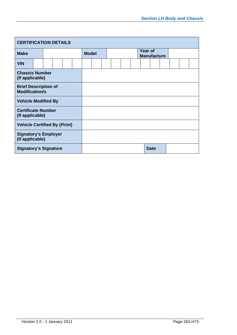| <b>CERTIFICATION DETAILS</b>                         |  |  |  |  |  |              |  |  |  |                                      |  |             |  |  |  |  |  |
|------------------------------------------------------|--|--|--|--|--|--------------|--|--|--|--------------------------------------|--|-------------|--|--|--|--|--|
| <b>Make</b>                                          |  |  |  |  |  | <b>Model</b> |  |  |  | <b>Year of</b><br><b>Manufacture</b> |  |             |  |  |  |  |  |
| <b>VIN</b>                                           |  |  |  |  |  |              |  |  |  |                                      |  |             |  |  |  |  |  |
| <b>Chassis Number</b><br>(If applicable)             |  |  |  |  |  |              |  |  |  |                                      |  |             |  |  |  |  |  |
| <b>Brief Description of</b><br><b>Modification/s</b> |  |  |  |  |  |              |  |  |  |                                      |  |             |  |  |  |  |  |
| <b>Vehicle Modified By</b>                           |  |  |  |  |  |              |  |  |  |                                      |  |             |  |  |  |  |  |
| <b>Certificate Number</b><br>(If applicable)         |  |  |  |  |  |              |  |  |  |                                      |  |             |  |  |  |  |  |
| <b>Vehicle Certified By (Print)</b>                  |  |  |  |  |  |              |  |  |  |                                      |  |             |  |  |  |  |  |
| <b>Signatory's Employer</b><br>(If applicable)       |  |  |  |  |  |              |  |  |  |                                      |  |             |  |  |  |  |  |
| <b>Signatory's Signature</b>                         |  |  |  |  |  |              |  |  |  |                                      |  | <b>Date</b> |  |  |  |  |  |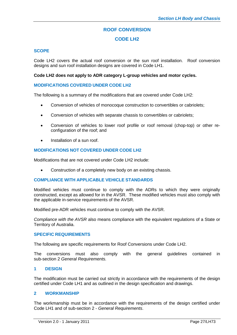# **ROOF CONVERSION**

# **CODE LH2**

#### **SCOPE**

Code LH2 covers the actual roof conversion or the sun roof installation. Roof conversion designs and sun roof installation designs are covered in Code LH1.

#### **Code LH2 does not apply to ADR category L-group vehicles and motor cycles.**

#### **MODIFICATIONS COVERED UNDER CODE LH2**

The following is a summary of the modifications that are covered under Code LH2:

- Conversion of vehicles of monocoque construction to convertibles or cabriolets;
- Conversion of vehicles with separate chassis to convertibles or cabriolets;
- Conversion of vehicles to lower roof profile or roof removal (chop-top) or other reconfiguration of the roof; and
- Installation of a sun roof.

#### **MODIFICATIONS NOT COVERED UNDER CODE LH2**

Modifications that are not covered under Code LH2 include:

Construction of a completely new body on an existing chassis.

#### **COMPLIANCE WITH APPLICABLE VEHICLE STANDARDS**

Modified vehicles must continue to comply with the ADRs to which they were originally constructed, except as allowed for in the AVSR. These modified vehicles must also comply with the applicable in-service requirements of the AVSR.

Modified pre-ADR vehicles must continue to comply with the AVSR.

*Compliance with the AVSR* also means compliance with the equivalent regulations of a State or Territory of Australia.

#### **SPECIFIC REQUIREMENTS**

The following are specific requirements for Roof Conversions under Code LH2.

The conversions must also comply with the general guidelines contained in sub-section 2 *General Requirements.*

#### **1 DESIGN**

The modification must be carried out strictly in accordance with the requirements of the design certified under Code LH1 and as outlined in the design specification and drawings.

#### **2 WORKMANSHIP**

The workmanship must be in accordance with the requirements of the design certified under Code LH1 and of sub-section 2 - *General Requirements*.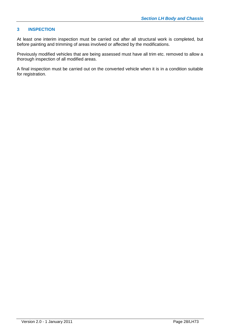#### **3 INSPECTION**

At least one interim inspection must be carried out after all structural work is completed, but before painting and trimming of areas involved or affected by the modifications.

Previously modified vehicles that are being assessed must have all trim etc. removed to allow a thorough inspection of all modified areas.

A final inspection must be carried out on the converted vehicle when it is in a condition suitable for registration.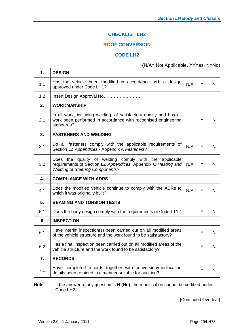# **CHECKLIST LH2**

## **ROOF CONVERSION**

## **CODE LH2**

# (N/A= Not Applicable, Y=Yes, N=No)

| 1.               | <b>DESIGN</b>                                                                                                                                                     |     |   |   |
|------------------|-------------------------------------------------------------------------------------------------------------------------------------------------------------------|-----|---|---|
| 1.1              | Has the vehicle been modified in accordance with a design<br>approved under Code LH1?                                                                             | N/A | Y | N |
| 1.2              | Insert Design Approval No                                                                                                                                         |     |   |   |
| 2.               | <b>WORKMANSHIP</b>                                                                                                                                                |     |   |   |
| 2.1              | Is all work, including welding, of satisfactory quality and has all<br>work been performed in accordance with recognised engineering<br>standards?                |     | Y | N |
| 3.               | <b>FASTENERS AND WELDING</b>                                                                                                                                      |     |   |   |
| 3.1              | Do all fasteners comply with the applicable requirements of<br>Section LZ Appendices - Appendix A Fasteners?                                                      | N/A | Y | N |
| 3.2              | Does the quality of welding comply with the applicable<br>requirements of Section LZ Appendices, Appendix C Heating and<br><b>Welding of Steering Components?</b> | N/A | Y | N |
| 4.               | <b>COMPLIANCE WITH ADRS</b>                                                                                                                                       |     |   |   |
| 4.1              | Does the modified vehicle continue to comply with the ADRs to<br>which it was originally built?                                                                   | N/A | Y | N |
| 5.               | <b>BEAMING AND TORSION TESTS</b>                                                                                                                                  |     |   |   |
|                  |                                                                                                                                                                   |     |   |   |
| 5.1              | Does the body design comply with the requirements of Code LT1?                                                                                                    |     | Y | N |
| 6                | <b>INSPECTION</b>                                                                                                                                                 |     |   |   |
| 6.1              | Have interim inspection(s) been carried out on all modified areas<br>of the vehicle structure and the work found to be satisfactory?                              |     | Y | N |
| 6.2              | Has a final inspection been carried out on all modified areas of the<br>vehicle structure and the work found to be satisfactory?                                  |     | Y | N |
| $\overline{7}$ . | <b>RECORDS</b>                                                                                                                                                    |     |   |   |
| 7.1              | Have completed records together with conversion/modification<br>details been retained in a manner suitable for auditing?                                          |     | Y | N |

**Note**: If the answer to any question is **N (No)**, the modification cannot be certified under Code LH2.

[Continued Overleaf]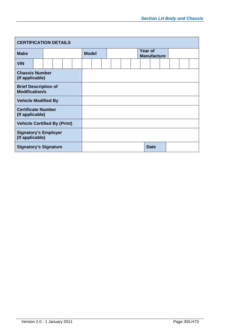| <b>CERTIFICATION DETAILS</b>                         |  |  |  |  |  |              |  |  |                                      |  |  |             |  |  |  |  |
|------------------------------------------------------|--|--|--|--|--|--------------|--|--|--------------------------------------|--|--|-------------|--|--|--|--|
| <b>Make</b>                                          |  |  |  |  |  | <b>Model</b> |  |  | <b>Year of</b><br><b>Manufacture</b> |  |  |             |  |  |  |  |
| <b>VIN</b>                                           |  |  |  |  |  |              |  |  |                                      |  |  |             |  |  |  |  |
| <b>Chassis Number</b><br>(If applicable)             |  |  |  |  |  |              |  |  |                                      |  |  |             |  |  |  |  |
| <b>Brief Description of</b><br><b>Modification/s</b> |  |  |  |  |  |              |  |  |                                      |  |  |             |  |  |  |  |
| <b>Vehicle Modified By</b>                           |  |  |  |  |  |              |  |  |                                      |  |  |             |  |  |  |  |
| <b>Certificate Number</b><br>(If applicable)         |  |  |  |  |  |              |  |  |                                      |  |  |             |  |  |  |  |
| <b>Vehicle Certified By (Print)</b>                  |  |  |  |  |  |              |  |  |                                      |  |  |             |  |  |  |  |
| <b>Signatory's Employer</b><br>(If applicable)       |  |  |  |  |  |              |  |  |                                      |  |  |             |  |  |  |  |
| <b>Signatory's Signature</b>                         |  |  |  |  |  |              |  |  |                                      |  |  | <b>Date</b> |  |  |  |  |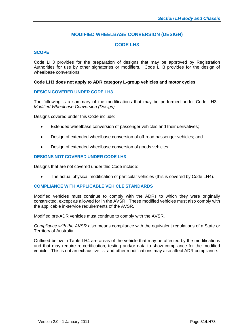## **MODIFIED WHEELBASE CONVERSION (DESIGN)**

## **CODE LH3**

#### **SCOPE**

Code LH3 provides for the preparation of designs that may be approved by Registration Authorities for use by other signatories or modifiers. Code LH3 provides for the design of wheelbase conversions.

#### **Code LH3 does not apply to ADR category L-group vehicles and motor cycles.**

#### **DESIGN COVERED UNDER CODE LH3**

The following is a summary of the modifications that may be performed under Code LH3 - *Modified Wheelbase Conversion (Design).*

Designs covered under this Code include:

- Extended wheelbase conversion of passenger vehicles and their derivatives;
- Design of extended wheelbase conversion of off-road passenger vehicles; and
- Design of extended wheelbase conversion of goods vehicles.

#### **DESIGNS NOT COVERED UNDER CODE LH3**

Designs that are not covered under this Code include:

The actual physical modification of particular vehicles (this is covered by Code LH4).

#### **COMPLIANCE WITH APPLICABLE VEHICLE STANDARDS**

Modified vehicles must continue to comply with the ADRs to which they were originally constructed, except as allowed for in the AVSR. These modified vehicles must also comply with the applicable in-service requirements of the AVSR.

Modified pre-ADR vehicles must continue to comply with the AVSR.

*Compliance with the AVSR* also means compliance with the equivalent regulations of a State or Territory of Australia.

Outlined below in Table LH4 are areas of the vehicle that may be affected by the modifications and that may require re-certification, testing and/or data to show compliance for the modified vehicle. This is not an exhaustive list and other modifications may also affect ADR compliance.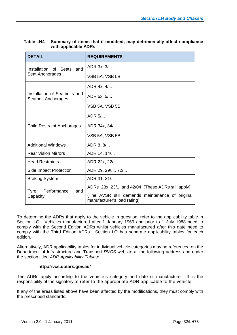| <b>DETAIL</b>                                        | <b>REQUIREMENTS</b>                                                             |  |  |  |  |  |  |
|------------------------------------------------------|---------------------------------------------------------------------------------|--|--|--|--|--|--|
| Installation of Seats and                            | ADR 3x, 3/                                                                      |  |  |  |  |  |  |
| Seat Anchorages                                      | VSB 5A, VSB 5B                                                                  |  |  |  |  |  |  |
|                                                      | ADR 4x, 4/                                                                      |  |  |  |  |  |  |
| Installation of Seatbelts and<br>Seatbelt Anchorages | ADR 5x, 5/                                                                      |  |  |  |  |  |  |
|                                                      | VSB 5A, VSB 5B                                                                  |  |  |  |  |  |  |
|                                                      | ADR $5/$                                                                        |  |  |  |  |  |  |
| <b>Child Restraint Anchorages</b>                    | ADR 34x, 34/                                                                    |  |  |  |  |  |  |
|                                                      | VSB 5A, VSB 5B                                                                  |  |  |  |  |  |  |
| <b>Additional Windows</b>                            | ADR 8, 8/                                                                       |  |  |  |  |  |  |
| <b>Rear Vision Mirrors</b>                           | ADR 14, 14/                                                                     |  |  |  |  |  |  |
| <b>Head Restraints</b>                               | ADR 22x, 22/                                                                    |  |  |  |  |  |  |
| Side Impact Protection                               | ADR 29, 29/, 72/                                                                |  |  |  |  |  |  |
| <b>Braking System</b>                                | ADR 31, 31/                                                                     |  |  |  |  |  |  |
| Performance<br>Tyre<br>and                           | ADRs 23x, 23/ and 42/04 (These ADRs still apply).                               |  |  |  |  |  |  |
| Capacity                                             | (The AVSR still demands maintenance of original<br>manufacturer's load rating). |  |  |  |  |  |  |

| Table LH4 | Summary of items that if modified, may detrimentally affect compliance |
|-----------|------------------------------------------------------------------------|
|           | with applicable ADRs                                                   |

To determine the ADRs that apply to the vehicle in question, refer to the applicability table in Section LO. Vehicles manufactured after 1 January 1969 and prior to 1 July 1988 need to comply with the Second Edition ADRs whilst vehicles manufactured after this date need to comply with the Third Edition ADRs. Section LO has separate applicability tables for each edition.

Alternatively, ADR applicability tables for individual vehicle categories may be referenced on the Department of Infrastructure and Transport *RVCS* website at the following address and under the section titled *ADR Applicability Tables*:

#### **http://rvcs.dotars.gov.au/**

The ADRs apply according to the vehicle's category and date of manufacture. It is the responsibility of the signatory to refer to the appropriate ADR applicable to the vehicle.

If any of the areas listed above have been affected by the modifications, they must comply with the prescribed standards.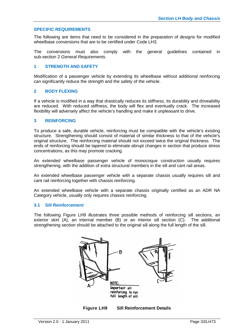#### **SPECIFIC REQUIREMENTS**

The following are items that need to be considered in the preparation of designs for modified wheelbase conversions that are to be certified under Code LH3.

The conversions must also comply with the general guidelines contained in sub-section 2 *General Requirements*.

#### **1 STRENGTH AND SAFETY**

Modification of a passenger vehicle by extending its wheelbase without additional reinforcing can significantly reduce the strength and the safety of the vehicle.

#### **2 BODY FLEXING**

If a vehicle is modified in a way that drastically reduces its stiffness, its durability and driveability are reduced. With reduced stiffness, the body will flex and eventually crack. The increased flexibility will adversely affect the vehicle's handling and make it unpleasant to drive.

#### **3 REINFORCING**

To produce a safe, durable vehicle, reinforcing must be compatible with the vehicle's existing structure. Strengthening should consist of material of similar thickness to that of the vehicle's original structure. The reinforcing material should not exceed twice the original thickness. The ends of reinforcing should be tapered to eliminate abrupt changes in section that produce stress concentrations, as this may promote cracking.

An extended wheelbase passenger vehicle of monocoque construction usually requires strengthening, with the addition of extra structural members in the sill and cant rail areas.

An extended wheelbase passenger vehicle with a separate chassis usually requires sill and cant rail reinforcing together with chassis reinforcing.

An extended wheelbase vehicle with a separate chassis originally certified as an ADR NA Category vehicle, usually only requires chassis reinforcing.

#### **3.1 Sill Reinforcement**

The following Figure LH9 illustrates three possible methods of reinforcing sill sections, an exterior skirt (A), an internal member (B) or an interior sill section (C). The additional strengthening section should be attached to the original sill along the full length of the sill.



**Figure LH9 Sill Reinforcement Details**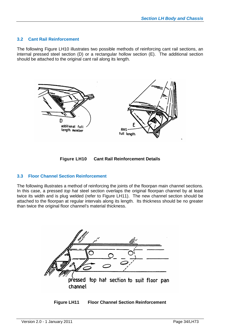#### **3.2 Cant Rail Reinforcement**

The following Figure LH10 illustrates two possible methods of reinforcing cant rail sections, an internal pressed steel section (D) or a rectangular hollow section (E). The additional section should be attached to the original cant rail along its length.





#### **3.3 Floor Channel Section Reinforcement**

The following illustrates a method of reinforcing the joints of the floorpan main channel sections. In this case, a pressed *top hat* steel section overlaps the original floorpan channel by at least twice its width and is plug welded (refer to Figure LH11). The new channel section should be attached to the floorpan at regular intervals along its length. Its thickness should be no greater than twice the original floor channel's material thickness.



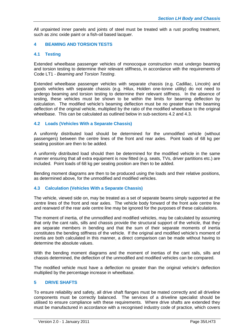All unpainted inner panels and joints of steel must be treated with a rust proofing treatment, such as zinc oxide paint or a fish-oil based lacquer.

#### **4 BEAMING AND TORSION TESTS**

#### **4.1 Testing**

Extended wheelbase passenger vehicles of monocoque construction must undergo beaming and torsion testing to determine their relevant stiffness, in accordance with the requirements of Code LT1 - *Beaming and Torsion Testing*.

Extended wheelbase passenger vehicles with separate chassis (e.g. Cadillac, Lincoln) and goods vehicles with separate chassis (e.g. Hilux, Holden one-tonne utility) do not need to undergo beaming and torsion testing to determine their relevant stiffness. In the absence of testing, these vehicles must be shown to be within the limits for beaming deflection by calculation. The modified vehicle's beaming deflection must be no greater than the beaming deflection of the original vehicle, multiplied by the ratio of the modified wheelbase to the original wheelbase. This can be calculated as outlined below in sub-sections 4.2 and 4.3.

#### **4.2 Loads (Vehicles With a Separate Chassis)**

A uniformly distributed load should be determined for the unmodified vehicle (without passengers) between the centre lines of the front and rear axles. Point loads of 68 kg per seating position are then to be added.

A uniformly distributed load should then be determined for the modified vehicle in the same manner ensuring that all extra equipment is now fitted (e.g. seats, TVs, driver partitions etc.) are included. Point loads of 68 kg per seating position are then to be added.

Bending moment diagrams are then to be produced using the loads and their relative positions, as determined above, for the unmodified and modified vehicles.

#### **4.3 Calculation (Vehicles With a Separate Chassis)**

The vehicle, viewed side on, may be treated as a set of separate beams simply supported at the centre lines of the front and rear axles. The vehicle body forward of the front axle centre line and rearward of the rear axle centre line may be ignored for the purposes of these calculations.

The moment of inertia, of the unmodified and modified vehicles, may be calculated by assuming that only the cant rails, sills and chassis provide the structural support of the vehicle, that they are separate members in bending and that the sum of their separate moments of inertia constitutes the bending stiffness of the vehicle. If the original and modified vehicle's moment of inertia are both calculated in this manner, a direct comparison can be made without having to determine the absolute values.

With the bending moment diagrams and the moment of inertias of the cant rails, sills and chassis determined, the deflection of the unmodified and modified vehicles can be compared.

The modified vehicle must have a deflection no greater than the original vehicle's deflection multiplied by the percentage increase in wheelbase.

#### **5 DRIVE SHAFTS**

To ensure reliability and safety, all drive shaft flanges must be mated correctly and all driveline components must be correctly balanced. The services of a driveline specialist should be utilised to ensure compliance with these requirements. Where drive shafts are extended they must be manufactured in accordance with a recognised industry code of practice, which covers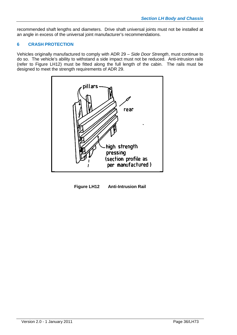recommended shaft lengths and diameters. Drive shaft universal joints must not be installed at an angle in excess of the universal joint manufacturer's recommendations.

#### **6 CRASH PROTECTION**

Vehicles originally manufactured to comply with ADR 29 – *Side Door Strength*, must continue to do so. The vehicle's ability to withstand a side impact must not be reduced. Anti-intrusion rails (refer to Figure LH12) must be fitted along the full length of the cabin. The rails must be designed to meet the strength requirements of ADR 29.



**Figure LH12 Anti-Intrusion Rail**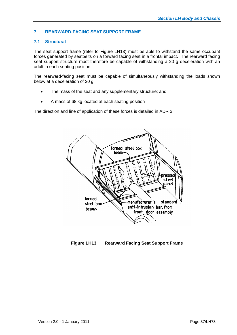## **7 REARWARD-FACING SEAT SUPPORT FRAME**

## **7.1 Structural**

The seat support frame (refer to Figure LH13) must be able to withstand the same occupant forces generated by seatbelts on a forward facing seat in a frontal impact. The rearward facing seat support structure must therefore be capable of withstanding a 20 g deceleration with an adult in each seating position.

The rearward-facing seat must be capable of simultaneously withstanding the loads shown below at a deceleration of 20 g:

- The mass of the seat and any supplementary structure; and
- A mass of 68 kg located at each seating position

The direction and line of application of these forces is detailed in ADR 3.



**Figure LH13 Rearward Facing Seat Support Frame**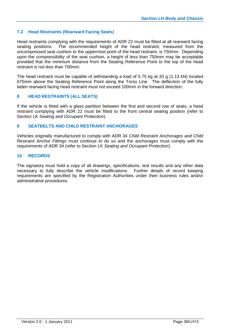## **7.2 Head Restraints (Rearward Facing Seats)**

Head restraints complying with the requirements of ADR 22 must be fitted at all rearward facing seating positions. The recommended height of the head restraint, measured from the uncompressed seat cushion to the uppermost point of the head restraint, is 750mm. Depending upon the compressibility of the seat cushion, a height of less than 750mm may be acceptable provided that the minimum distance from the Seating Reference Point to the top of the head restraint is not less than 700mm.

The head restraint must be capable of withstanding a load of 5.75 kg at 20 g (1.13 kN) located 675mm above the Seating Reference Point along the Torso Line. The deflection of the fully laden rearward facing head restraint must not exceed 100mm in the forward direction.

## **8 HEAD RESTRAINTS (ALL SEATS)**

If the vehicle is fitted with a glass partition between the first and second row of seats, a head restraint complying with ADR 22 must be fitted to the front central seating position (refer to Section LK *Seating and Occupant Protection*).

#### **9 SEATBELTS AND CHILD RESTRAINT ANCHORAGES**

Vehicles originally manufactured to comply with ADR 34 *Child Restraint Anchorages and Child Restraint Anchor Fittings* must continue to do so and the anchorages must comply with the requirements of ADR 34 (refer to Section LK *Seating and Occupant Protection*).

#### **10 RECORDS**

The signatory must hold a copy of all drawings, specifications, test results and any other data necessary to fully describe the vehicle modifications. Further details of record keeping requirements are specified by the Registration Authorities under their business rules and/or administrative procedures.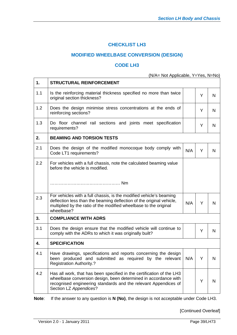# **CHECKLIST LH3**

# **MODIFIED WHEELBASE CONVERSION (DESIGN)**

## **CODE LH3**

(N/A= Not Applicable, Y=Yes, N=No)

| 1.  | <b>STRUCTURAL REINFORCEMENT</b>                                                                                                                                                                                                       |     |   |   |
|-----|---------------------------------------------------------------------------------------------------------------------------------------------------------------------------------------------------------------------------------------|-----|---|---|
| 1.1 | Is the reinforcing material thickness specified no more than twice<br>original section thickness?                                                                                                                                     |     | Y | N |
| 1.2 | Does the design minimise stress concentrations at the ends of<br>reinforcing sections?                                                                                                                                                |     | Y | N |
| 1.3 | Do floor channel rail sections and joints meet specification<br>requirements?                                                                                                                                                         |     | Y | N |
| 2.  | <b>BEAMING AND TORSION TESTS</b>                                                                                                                                                                                                      |     |   |   |
| 2.1 | Does the design of the modified monocoque body comply with<br>Code LT1 requirements?                                                                                                                                                  | N/A | Y | N |
| 2.2 | For vehicles with a full chassis, note the calculated beaming value<br>before the vehicle is modified.                                                                                                                                |     |   |   |
|     |                                                                                                                                                                                                                                       |     |   |   |
| 2.3 | For vehicles with a full chassis, is the modified vehicle's beaming<br>deflection less than the beaming deflection of the original vehicle,<br>multiplied by the ratio of the modified wheelbase to the original<br>wheelbase?        | N/A | Y | N |
| 3.  | <b>COMPLIANCE WITH ADRS</b>                                                                                                                                                                                                           |     |   |   |
| 3.1 | Does the design ensure that the modified vehicle will continue to<br>comply with the ADRs to which it was originally built?                                                                                                           |     | Y | N |
| 4.  | <b>SPECIFICATION</b>                                                                                                                                                                                                                  |     |   |   |
| 4.1 | Have drawings, specifications and reports concerning the design<br>been produced and submitted as required by the relevant<br><b>Registration Authority.?</b>                                                                         | N/A | Y | N |
| 4.2 | Has all work, that has been specified in the certification of the LH3<br>wheelbase conversion design, been determined in accordance with<br>recognised engineering standards and the relevant Appendices of<br>Section LZ Appendices? |     | Y | N |

**Note**: If the answer to any question is **N (No)**, the design is not acceptable under Code LH3.

[Continued Overleaf]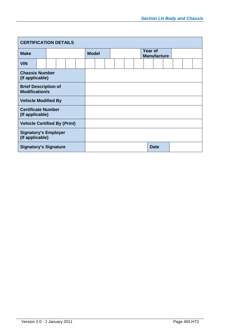| <b>CERTIFICATION DETAILS</b>                         |                              |  |  |  |              |  |  |  |  |                               |             |  |  |
|------------------------------------------------------|------------------------------|--|--|--|--------------|--|--|--|--|-------------------------------|-------------|--|--|
| <b>Make</b>                                          |                              |  |  |  | <b>Model</b> |  |  |  |  | Year of<br><b>Manufacture</b> |             |  |  |
| <b>VIN</b>                                           |                              |  |  |  |              |  |  |  |  |                               |             |  |  |
| <b>Chassis Number</b><br>(If applicable)             |                              |  |  |  |              |  |  |  |  |                               |             |  |  |
| <b>Brief Description of</b><br><b>Modification/s</b> |                              |  |  |  |              |  |  |  |  |                               |             |  |  |
| <b>Vehicle Modified By</b>                           |                              |  |  |  |              |  |  |  |  |                               |             |  |  |
| <b>Certificate Number</b><br>(If applicable)         |                              |  |  |  |              |  |  |  |  |                               |             |  |  |
| <b>Vehicle Certified By (Print)</b>                  |                              |  |  |  |              |  |  |  |  |                               |             |  |  |
| <b>Signatory's Employer</b><br>(If applicable)       |                              |  |  |  |              |  |  |  |  |                               |             |  |  |
|                                                      | <b>Signatory's Signature</b> |  |  |  |              |  |  |  |  |                               | <b>Date</b> |  |  |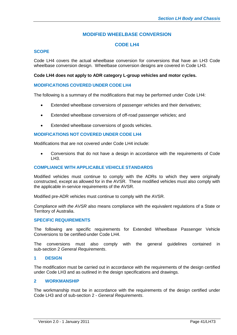# **MODIFIED WHEELBASE CONVERSION**

# **CODE LH4**

## **SCOPE**

Code LH4 covers the actual wheelbase conversion for conversions that have an LH3 Code wheelbase conversion design. Wheelbase conversion designs are covered in Code LH3.

#### **Code LH4 does not apply to ADR category L-group vehicles and motor cycles.**

## **MODIFICATIONS COVERED UNDER CODE LH4**

The following is a summary of the modifications that may be performed under Code LH4:

- Extended wheelbase conversions of passenger vehicles and their derivatives;
- Extended wheelbase conversions of off-road passenger vehicles; and
- Extended wheelbase conversions of goods vehicles.

#### **MODIFICATIONS NOT COVERED UNDER CODE LH4**

Modifications that are not covered under Code LH4 include:

 Conversions that do not have a design in accordance with the requirements of Code LH3.

## **COMPLIANCE WITH APPLICABLE VEHICLE STANDARDS**

Modified vehicles must continue to comply with the ADRs to which they were originally constructed, except as allowed for in the AVSR. These modified vehicles must also comply with the applicable in-service requirements of the AVSR.

Modified pre-ADR vehicles must continue to comply with the AVSR.

*Compliance with the AVSR* also means compliance with the equivalent regulations of a State or Territory of Australia.

#### **SPECIFIC REQUIREMENTS**

The following are specific requirements for Extended Wheelbase Passenger Vehicle Conversions to be certified-under Code LH4.

The conversions must also comply with the general guidelines contained in sub-section 2 *General Requirements*.

#### **1 DESIGN**

The modification must be carried out in accordance with the requirements of the design certified under Code LH3 and as outlined in the design specifications and drawings.

### **2 WORKMANSHIP**

The workmanship must be in accordance with the requirements of the design certified under Code LH3 and of sub-section 2 - *General Requirements*.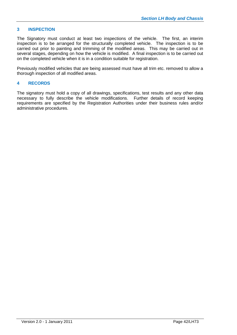## **3 INSPECTION**

The Signatory must conduct at least two inspections of the vehicle. The first, an interim inspection is to be arranged for the structurally completed vehicle. The inspection is to be carried out prior to painting and trimming of the modified areas. This may be carried out in several stages, depending on how the vehicle is modified. A final inspection is to be carried out on the completed vehicle when it is in a condition suitable for registration.

Previously modified vehicles that are being assessed must have all trim etc. removed to allow a thorough inspection of all modified areas.

### **4 RECORDS**

The signatory must hold a copy of all drawings, specifications, test results and any other data necessary to fully describe the vehicle modifications. Further details of record keeping requirements are specified by the Registration Authorities under their business rules and/or administrative procedures.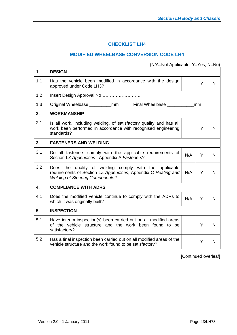# **CHECKLIST LH4**

## **MODIFIED WHEELBASE CONVERSION CODE LH4**

(N/A=Not Applicable, Y=Yes, N=No)

| Y                                                                     |   |
|-----------------------------------------------------------------------|---|
|                                                                       | N |
|                                                                       |   |
| Original Wheelbase ____________mm Final Wheelbase _________________mm |   |
|                                                                       |   |
| Y                                                                     | N |
|                                                                       |   |
| Y                                                                     | N |
| Y                                                                     | N |
|                                                                       |   |
| Y                                                                     | N |
|                                                                       |   |
| Y                                                                     | N |
| Y                                                                     | N |
|                                                                       |   |

[Continued overleaf]

 $\overline{\mathbf{r}}$ 

 $\mathsf{r}$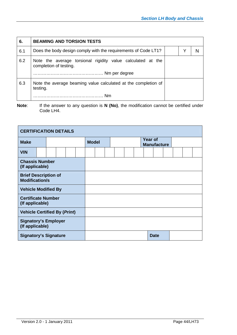| 6.  | <b>BEAMING AND TORSION TESTS</b>                                                      |  |   |
|-----|---------------------------------------------------------------------------------------|--|---|
| 6.1 | Does the body design comply with the requirements of Code LT1?                        |  | N |
| 6.2 | Note the average torsional rigidity value calculated at the<br>completion of testing. |  |   |
| 6.3 | Note the average beaming value calculated at the completion of<br>testing.            |  |   |
|     |                                                                                       |  |   |

**Note:** If the answer to any question is **N** (No), the modification cannot be certified under Code LH4.

| <b>CERTIFICATION DETAILS</b>                         |                              |  |  |  |              |  |  |                                      |             |  |  |
|------------------------------------------------------|------------------------------|--|--|--|--------------|--|--|--------------------------------------|-------------|--|--|
| <b>Make</b>                                          |                              |  |  |  | <b>Model</b> |  |  | <b>Year of</b><br><b>Manufacture</b> |             |  |  |
| <b>VIN</b>                                           |                              |  |  |  |              |  |  |                                      |             |  |  |
| <b>Chassis Number</b><br>(If applicable)             |                              |  |  |  |              |  |  |                                      |             |  |  |
| <b>Brief Description of</b><br><b>Modification/s</b> |                              |  |  |  |              |  |  |                                      |             |  |  |
| <b>Vehicle Modified By</b>                           |                              |  |  |  |              |  |  |                                      |             |  |  |
| <b>Certificate Number</b><br>(If applicable)         |                              |  |  |  |              |  |  |                                      |             |  |  |
| <b>Vehicle Certified By (Print)</b>                  |                              |  |  |  |              |  |  |                                      |             |  |  |
| <b>Signatory's Employer</b><br>(If applicable)       |                              |  |  |  |              |  |  |                                      |             |  |  |
|                                                      | <b>Signatory's Signature</b> |  |  |  |              |  |  |                                      | <b>Date</b> |  |  |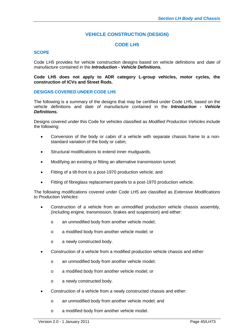# **VEHICLE CONSTRUCTION (DESIGN)**

# **CODE LH5**

## **SCOPE**

Code LH5 provides for vehicle construction designs based on vehicle definitions and *date of manufacture* contained in the *Introduction - Vehicle Definitions.*

#### **Code LH5 does not apply to ADR category L-group vehicles, motor cycles, the construction of ICVs and Street Rods.**

## **DESIGNS COVERED UNDER CODE LH5**

The following is a summary of the designs that may be certified under Code LH5*,* based on the vehicle definitions and *date of manufacture* contained in the *Introduction - Vehicle Definitions.*

Designs covered under this Code for vehicles classified as *Modified Production Vehicles* include the following:

- Conversion of the body or cabin of a vehicle with separate chassis frame to a nonstandard variation of the body or cabin;
- Structural modifications to extend inner mudguards;
- Modifying an existing or fitting an alternative transmission tunnel;
- Fitting of a tilt-front to a post-1970 production vehicle; and
- Fitting of fibreglass replacement panels to a post-1970 production vehicle.

The following modifications covered under Code LH5 are classified as *Extensive Modifications to Production Vehicles*:

- Construction of a vehicle from an unmodified production vehicle chassis assembly, (including engine, transmission, brakes and suspension) and either:
	- o an unmodified body from another vehicle model;
	- o a modified body from another vehicle model; or
	- o a newly constructed body.
- Construction of a vehicle from a modified production vehicle chassis and either:
	- o an unmodified body from another vehicle model;
	- o a modified body from another vehicle model; or
	- o a newly constructed body.
- Construction of a vehicle from a newly constructed chassis and either:
	- o an unmodified body from another vehicle model; and
	- o a modified body from another vehicle model.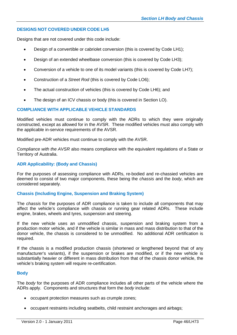## **DESIGNS NOT COVERED UNDER CODE LH5**

Designs that are not covered under this code include:

- Design of a convertible or cabriolet conversion (this is covered by Code LH1);
- Design of an extended wheelbase conversion (this is covered by Code LH3);
- Conversion of a vehicle to one of its model variants (this is covered by Code LH7);
- Construction of a *Street Rod* (this is covered by Code LO6);
- The actual construction of vehicles (this is covered by Code LH6); and
- The design of an ICV chassis or body (this is covered in Section LO).

## **COMPLIANCE WITH APPLICABLE VEHICLE STANDARDS**

Modified vehicles must continue to comply with the ADRs to which they were originally constructed, except as allowed for in the AVSR. These modified vehicles must also comply with the applicable in-service requirements of the AVSR.

Modified pre-ADR vehicles must continue to comply with the AVSR.

*Compliance with the AVSR* also means compliance with the equivalent regulations of a State or Territory of Australia.

## **ADR Applicability: (Body and Chassis)**

For the purposes of assessing compliance with ADRs, re-bodied and re-chassied vehicles are deemed to consist of two major components, these being the *chassis* and the *body*, which are considered separately.

## **Chassis (Including Engine, Suspension and Braking System)**

The *chassis* for the purposes of ADR compliance is taken to include all components that may affect the vehicle's compliance with chassis or running gear related ADRs. These include engine, brakes, wheels and tyres, suspension and steering.

If the new vehicle uses an unmodified chassis, suspension and braking system from a production motor vehicle, and if the vehicle is similar in mass and mass distribution to that of the donor vehicle, the chassis is considered to be unmodified. No additional ADR certification is required.

If the chassis is a modified production chassis (shortened or lengthened beyond that of any manufacturer's variants), if the suspension or brakes are modified, or if the new vehicle is substantially heavier or different in mass distribution from that of the chassis donor vehicle, the vehicle's braking system will require re-certification.

## **Body**

The *body* for the purposes of ADR compliance includes all other parts of the vehicle where the ADRs apply. Components and structures that form the *body* include:

- occupant protection measures such as crumple zones;
- occupant restraints including seatbelts, child restraint anchorages and airbags;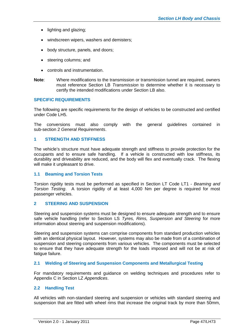- lighting and glazing;
- windscreen wipers, washers and demisters;
- body structure, panels, and doors;
- steering columns: and
- controls and instrumentation.
- **Note**: Where modifications to the transmission or transmission tunnel are required, owners must reference Section LB *Transmission* to determine whether it is necessary to certify the intended modifications under Section LB also.

## **SPECIFIC REQUIREMENTS**

The following are specific requirements for the design of vehicles to be constructed and certified under Code LH5.

The conversions must also comply with the general guidelines contained in sub-section 2 *General Requirements*.

## **1 STRENGTH AND STIFFNESS**

The vehicle's structure must have adequate strength and stiffness to provide protection for the occupants and to ensure safe handling. If a vehicle is constructed with low stiffness, its durability and driveability are reduced, and the body will flex and eventually crack. The flexing will make it unpleasant to drive.

#### **1.1 Beaming and Torsion Tests**

Torsion rigidity tests must be performed as specified in Section LT Code LT1 - *Beaming and Torsion Testing*. A torsion rigidity of at least 4,000 Nm per degree is required for most passenger vehicles.

#### **2 STEERING AND SUSPENSION**

Steering and suspension systems must be designed to ensure adequate strength and to ensure safe vehicle handling (refer to Section LS *Tyres, Rims, Suspension and Steering* for more information about steering and suspension modifications).

Steering and suspension systems can comprise components from standard production vehicles with an identical physical layout. However, systems may also be made from of a combination of suspension and steering components from various vehicles. The components must be selected to ensure that they have adequate strength for the loads imposed and will not be at risk of fatique failure.

## **2.1 Welding of Steering and Suspension Components and Metallurgical Testing**

For mandatory requirements and guidance on welding techniques and procedures refer to Appendix C in Section LZ *Appendices*.

## **2.2 Handling Test**

All vehicles with non-standard steering and suspension or vehicles with standard steering and suspension that are fitted with wheel rims that increase the original track by more than 50mm,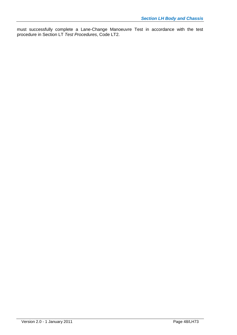must successfully complete a Lane-Change Manoeuvre Test in accordance with the test procedure in Section LT *Test Procedures*, Code LT2.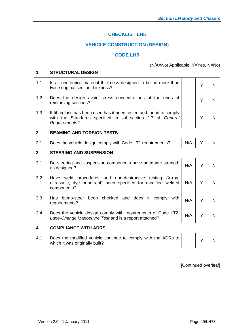# **CHECKLIST LH5**

# **VEHICLE CONSTRUCTION (DESIGN)**

## **CODE LH5**

# (N/A=Not Applicable, Y=Yes, N=No)

| 1.  | <b>STRUCTURAL DESIGN</b>                                                                                                                          |     |   |   |
|-----|---------------------------------------------------------------------------------------------------------------------------------------------------|-----|---|---|
| 1.1 | Is all reinforcing material thickness designed to be no more than<br>twice original section thickness?                                            |     | Y | N |
| 1.2 | Does the design avoid stress concentrations at the ends of<br>reinforcing sections?                                                               |     | Y | N |
| 1.3 | If fibreglass has been used has it been tested and found to comply<br>with the Standards specified in sub-section 2.7 of General<br>Requirements? |     | Y | N |
| 2.  | <b>BEAMING AND TORSION TESTS</b>                                                                                                                  |     |   |   |
| 2.1 | Does the vehicle design comply with Code LT1 requirements?                                                                                        | N/A | Y | N |
| 3.  | <b>STEERING AND SUSPENSION</b>                                                                                                                    |     |   |   |
| 3.1 | Do steering and suspension components have adequate strength<br>as designed?                                                                      | N/A | Y | N |
| 3.2 | Have weld procedures and non-destructive testing<br>$(X-ray,$<br>ultrasonic, dye penetrant) been specified for modified welded<br>components?     | N/A | Y | N |
| 3.3 | Has bump-steer been checked and does it comply<br>with<br>requirements?                                                                           | N/A | Y | N |
| 3.4 | Does the vehicle design comply with requirements of Code LT2,<br>Lane-Change Manoeuvre Test and is a report attached?                             | N/A | Y | N |
| 4.  | <b>COMPLIANCE WITH ADRS</b>                                                                                                                       |     |   |   |
| 4.1 | Does the modified vehicle continue to comply with the ADRs to<br>which it was originally built?                                                   |     | Y | N |

[Continued overleaf]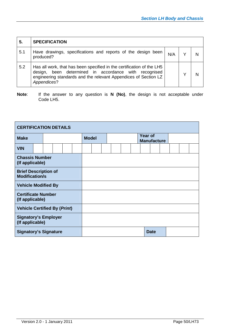| 5.  | <b>SPECIFICATION</b>                                                                                                                                                                                                |     |   |
|-----|---------------------------------------------------------------------------------------------------------------------------------------------------------------------------------------------------------------------|-----|---|
| 5.1 | Have drawings, specifications and reports of the design been<br>produced?                                                                                                                                           | N/A | N |
| 5.2 | Has all work, that has been specified in the certification of the LH5<br>been determined in accordance with recognised<br>design,<br>engineering standards and the relevant Appendices of Section LZ<br>Appendices? |     | N |

**Note**: If the answer to any question is **N (No)**, the design is not acceptable under Code LH5.

| <b>CERTIFICATION DETAILS</b>                         |                                          |  |  |  |  |              |  |  |                                      |  |             |  |  |  |  |
|------------------------------------------------------|------------------------------------------|--|--|--|--|--------------|--|--|--------------------------------------|--|-------------|--|--|--|--|
| <b>Make</b>                                          |                                          |  |  |  |  | <b>Model</b> |  |  | <b>Year of</b><br><b>Manufacture</b> |  |             |  |  |  |  |
| <b>VIN</b>                                           |                                          |  |  |  |  |              |  |  |                                      |  |             |  |  |  |  |
|                                                      | <b>Chassis Number</b><br>(If applicable) |  |  |  |  |              |  |  |                                      |  |             |  |  |  |  |
| <b>Brief Description of</b><br><b>Modification/s</b> |                                          |  |  |  |  |              |  |  |                                      |  |             |  |  |  |  |
| <b>Vehicle Modified By</b>                           |                                          |  |  |  |  |              |  |  |                                      |  |             |  |  |  |  |
| <b>Certificate Number</b><br>(If applicable)         |                                          |  |  |  |  |              |  |  |                                      |  |             |  |  |  |  |
| <b>Vehicle Certified By (Print)</b>                  |                                          |  |  |  |  |              |  |  |                                      |  |             |  |  |  |  |
| <b>Signatory's Employer</b><br>(If applicable)       |                                          |  |  |  |  |              |  |  |                                      |  |             |  |  |  |  |
| <b>Signatory's Signature</b>                         |                                          |  |  |  |  |              |  |  |                                      |  | <b>Date</b> |  |  |  |  |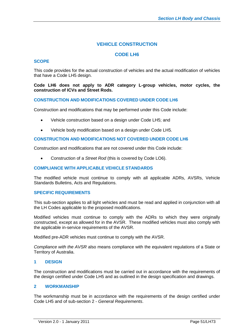# **VEHICLE CONSTRUCTION**

## **CODE LH6**

### **SCOPE**

This code provides for the actual construction of vehicles and the actual modification of vehicles that have a Code LH5 design.

#### **Code LH6 does not apply to ADR category L-group vehicles, motor cycles, the construction of ICVs and Street Rods.**

#### **CONSTRUCTION AND MODIFICATIONS COVERED UNDER CODE LH6**

Construction and modifications that may be performed under this Code include:

- Vehicle construction based on a design under Code LH5; and
- Vehicle body modification based on a design under Code LH5.

#### **CONSTRUCTION AND MODIFICATIONS NOT COVERED UNDER CODE LH6**

Construction and modifications that are not covered under this Code include:

Construction of a *Street Rod* (this is covered by Code LO6).

### **COMPLIANCE WITH APPLICABLE VEHICLE STANDARDS**

The modified vehicle must continue to comply with all applicable ADRs, AVSRs, Vehicle Standards Bulletins, Acts and Regulations.

#### **SPECIFIC REQUIREMENTS**

This sub-section applies to all light vehicles and must be read and applied in conjunction with all the LH Codes applicable to the proposed modifications.

Modified vehicles must continue to comply with the ADRs to which they were originally constructed, except as allowed for in the AVSR. These modified vehicles must also comply with the applicable in-service requirements of the AVSR.

Modified pre-ADR vehicles must continue to comply with the AVSR.

*Compliance with the AVSR* also means compliance with the equivalent regulations of a State or Territory of Australia.

#### **1 DESIGN**

The construction and modifications must be carried out in accordance with the requirements of the design certified under Code LH5 and as outlined in the design specification and drawings.

### **2 WORKMANSHIP**

The workmanship must be in accordance with the requirements of the design certified under Code LH5 and of sub-section 2 - *General Requirements*.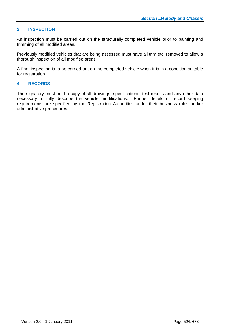## **3 INSPECTION**

An inspection must be carried out on the structurally completed vehicle prior to painting and trimming of all modified areas.

Previously modified vehicles that are being assessed must have all trim etc. removed to allow a thorough inspection of all modified areas.

A final inspection is to be carried out on the completed vehicle when it is in a condition suitable for registration.

## **4 RECORDS**

The signatory must hold a copy of all drawings, specifications, test results and any other data necessary to fully describe the vehicle modifications. Further details of record keeping requirements are specified by the Registration Authorities under their business rules and/or administrative procedures.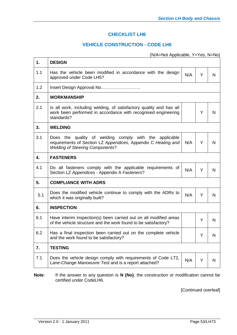# **CHECKLIST LH6**

# **VEHICLE CONSTRUCTION - CODE LH6**

(N/A=Not Applicable, Y=Yes, N=No)

| 1.  | <b>DESIGN</b>                                                                                                                                                     |     |   |   |
|-----|-------------------------------------------------------------------------------------------------------------------------------------------------------------------|-----|---|---|
| 1.1 | Has the vehicle been modified in accordance with the design<br>approved under Code LH5?                                                                           | N/A | Y | N |
| 1.2 | Insert Design Approval No                                                                                                                                         |     |   |   |
| 2.  | <b>WORKMANSHIP</b>                                                                                                                                                |     |   |   |
| 2.1 | Is all work, including welding, of satisfactory quality and has all<br>work been performed in accordance with recognised engineering<br>standards?                |     | Y | N |
| 3.  | <b>WELDING</b>                                                                                                                                                    |     |   |   |
| 3.1 | Does the quality of welding comply with the applicable<br>requirements of Section LZ Appendices, Appendix C Heating and<br><b>Welding of Steering Components?</b> | N/A | Y | N |
| 4.  | <b>FASTENERS</b>                                                                                                                                                  |     |   |   |
| 4.1 | Do all fasteners comply with the applicable requirements of<br>Section LZ Appendices - Appendix A Fasteners?                                                      | N/A | Y | N |
| 5.  | <b>COMPLIANCE WITH ADRS</b>                                                                                                                                       |     |   |   |
| 5.1 | Does the modified vehicle continue to comply with the ADRs to<br>which it was originally built?                                                                   | N/A | Y | N |
| 6.  | <b>INSPECTION</b>                                                                                                                                                 |     |   |   |
| 6.1 | Have interim inspection(s) been carried out on all modified areas<br>of the vehicle structure and the work found to be satisfactory?                              |     | Y | N |
| 6.2 | Has a final inspection been carried out on the complete vehicle<br>and the work found to be satisfactory?                                                         |     | Y | N |
| 7.  | <b>TESTING</b>                                                                                                                                                    |     |   |   |
| 7.1 | Does the vehicle design comply with requirements of Code LT2,<br>Lane-Change Manoeuvre Test and is a report attached?                                             | N/A | Y | N |
|     |                                                                                                                                                                   |     |   |   |

**Note**: If the answer to any question is **N (No)**, the construction or modification cannot be certified under CodeLH6.

[Continued overleaf]

 $\mathsf{r}$ 

┯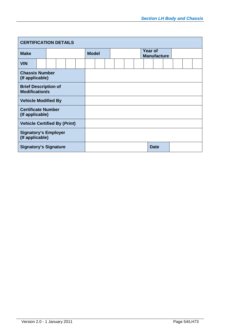| <b>CERTIFICATION DETAILS</b>                         |                              |  |  |  |              |  |  |  |  |                               |             |  |  |
|------------------------------------------------------|------------------------------|--|--|--|--------------|--|--|--|--|-------------------------------|-------------|--|--|
| <b>Make</b>                                          |                              |  |  |  | <b>Model</b> |  |  |  |  | Year of<br><b>Manufacture</b> |             |  |  |
| <b>VIN</b>                                           |                              |  |  |  |              |  |  |  |  |                               |             |  |  |
| <b>Chassis Number</b><br>(If applicable)             |                              |  |  |  |              |  |  |  |  |                               |             |  |  |
| <b>Brief Description of</b><br><b>Modification/s</b> |                              |  |  |  |              |  |  |  |  |                               |             |  |  |
| <b>Vehicle Modified By</b>                           |                              |  |  |  |              |  |  |  |  |                               |             |  |  |
| <b>Certificate Number</b><br>(If applicable)         |                              |  |  |  |              |  |  |  |  |                               |             |  |  |
| <b>Vehicle Certified By (Print)</b>                  |                              |  |  |  |              |  |  |  |  |                               |             |  |  |
| <b>Signatory's Employer</b><br>(If applicable)       |                              |  |  |  |              |  |  |  |  |                               |             |  |  |
|                                                      | <b>Signatory's Signature</b> |  |  |  |              |  |  |  |  |                               | <b>Date</b> |  |  |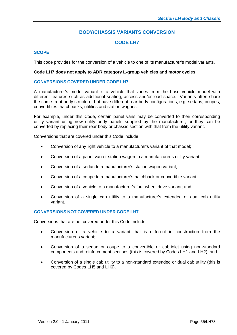## **BODY/CHASSIS VARIANTS CONVERSION**

## **CODE LH7**

## **SCOPE**

This code provides for the conversion of a vehicle to one of its manufacturer's model variants.

#### **Code LH7 does not apply to ADR category L-group vehicles and motor cycles.**

#### **CONVERSIONS COVERED UNDER CODE LH7**

A manufacturer's model variant is a vehicle that varies from the base vehicle model with different features such as additional seating, access and/or load space. Variants often share the same front body structure, but have different rear body configurations, e.g. sedans, coupes, convertibles, hatchbacks, utilities and station wagons.

For example, under this Code, certain panel vans may be converted to their corresponding utility variant using new utility body panels supplied by the manufacturer, or they can be converted by replacing their rear body or chassis section with that from the utility variant.

Conversions that are covered under this Code include:

- Conversion of any light vehicle to a manufacturer's variant of that model;
- Conversion of a panel van or station wagon to a manufacturer's utility variant;
- Conversion of a sedan to a manufacturer's station wagon variant;
- Conversion of a coupe to a manufacturer's hatchback or convertible variant;
- Conversion of a vehicle to a manufacturer's four wheel drive variant; and
- Conversion of a single cab utility to a manufacturer's extended or dual cab utility variant.

## **CONVERSIONS NOT COVERED UNDER CODE LH7**

Conversions that are not covered under this Code include:

- Conversion of a vehicle to a variant that is different in construction from the manufacturer's variant;
- Conversion of a sedan or coupe to a convertible or cabriolet using non-standard components and reinforcement sections (this is covered by Codes LH1 and LH2); and
- Conversion of a single cab utility to a non-standard extended or dual cab utility (this is covered by Codes LH5 and LH6).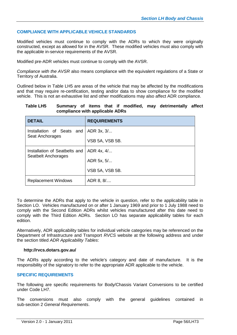## **COMPLIANCE WITH APPLICABLE VEHICLE STANDARDS**

Modified vehicles must continue to comply with the ADRs to which they were originally constructed, except as allowed for in the AVSR. These modified vehicles must also comply with the applicable in-service requirements of the AVSR.

Modified pre-ADR vehicles must continue to comply with the AVSR.

*Compliance with the AVSR* also means compliance with the equivalent regulations of a State or Territory of Australia.

Outlined below in Table LH5 are areas of the vehicle that may be affected by the modifications and that may require re-certification, testing and/or data to show compliance for the modified vehicle. This is not an exhaustive list and other modifications may also affect ADR compliance.

#### **Table LH5 Summary of items that if modified, may detrimentally affect compliance with applicable ADRs**

| <b>DETAIL</b>                          | <b>REQUIREMENTS</b> |
|----------------------------------------|---------------------|
| Installation of Seats and   ADR 3x, 3/ |                     |
| Seat Anchorages                        | VSB 5A, VSB 5B.     |
| Installation of Seatbelts and          | ADR 4x, 4/          |
| Seatbelt Anchorages                    | ADR 5x, 5/          |
|                                        | VSB 5A, VSB 5B.     |
| <b>Replacement Windows</b>             | ADR 8, 8/           |

To determine the ADRs that apply to the vehicle in question, refer to the applicability table in Section LO. Vehicles manufactured on or after 1 January 1969 and prior to 1 July 1988 need to comply with the Second Edition ADRs whilst vehicles manufactured after this date need to comply with the Third Edition ADRs. Section LO has separate applicability tables for each edition.

Alternatively, ADR applicability tables for individual vehicle categories may be referenced on the Department of Infrastructure and Transport *RVCS* website at the following address and under the section titled *ADR Applicability Tables*:

#### **http://rvcs.dotars.gov.au/**

The ADRs apply according to the vehicle's category and date of manufacture. It is the responsibility of the signatory to refer to the appropriate ADR applicable to the vehicle.

## **SPECIFIC REQUIREMENTS**

The following are specific requirements for Body/Chassis Variant Conversions to be certified under Code LH7.

The conversions must also comply with the general guidelines contained in sub-section 2 *General Requirements*.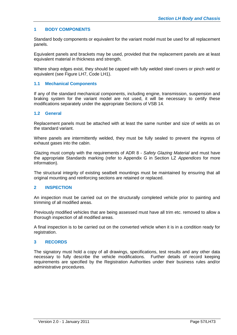## **1 BODY COMPONENTS**

Standard body components or equivalent for the variant model must be used for all replacement panels.

Equivalent panels and brackets may be used, provided that the replacement panels are at least equivalent material in thickness and strength.

Where sharp edges exist, they should be capped with fully welded steel covers or pinch weld or equivalent (see Figure LH7, Code LH1).

#### **1.1 Mechanical Components**

If any of the standard mechanical components, including engine, transmission, suspension and braking system for the variant model are not used, it will be necessary to certify these modifications separately under the appropriate Sections of VSB 14.

#### **1.2 General**

Replacement panels must be attached with at least the same number and size of welds as on the standard variant.

Where panels are intermittently welded, they must be fully sealed to prevent the ingress of exhaust gases into the cabin.

Glazing must comply with the requirements of ADR 8 - *Safety Glazing Material* and must have the appropriate Standards marking (refer to Appendix G in Section LZ *Appendices* for more information).

The structural integrity of existing seatbelt mountings must be maintained by ensuring that all original mounting and reinforcing sections are retained or replaced.

## **2 INSPECTION**

An inspection must be carried out on the structurally completed vehicle prior to painting and trimming of all modified areas.

Previously modified vehicles that are being assessed must have all trim etc. removed to allow a thorough inspection of all modified areas.

A final inspection is to be carried out on the converted vehicle when it is in a condition ready for registration.

## **3 RECORDS**

The signatory must hold a copy of all drawings, specifications, test results and any other data necessary to fully describe the vehicle modifications. Further details of record keeping requirements are specified by the Registration Authorities under their business rules and/or administrative procedures.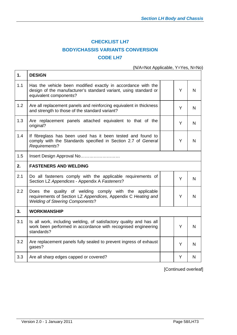# **CHECKLIST LH7 BODY/CHASSIS VARIANTS CONVERSION CODE LH7**

(N/A=Not Applicable, Y=Yes, N=No)

| 1.  | <b>DESIGN</b>                                                                                                                                                     |   |              |
|-----|-------------------------------------------------------------------------------------------------------------------------------------------------------------------|---|--------------|
| 1.1 | Has the vehicle been modified exactly in accordance with the<br>design of the manufacturer's standard variant, using standard or<br>equivalent components?        | Y | N            |
| 1.2 | Are all replacement panels and reinforcing equivalent in thickness<br>and strength to those of the standard variant?                                              | Y | N            |
| 1.3 | Are replacement panels attached equivalent to that of the<br>original?                                                                                            | Y | N            |
| 1.4 | If fibreglass has been used has it been tested and found to<br>comply with the Standards specified in Section 2.7 of General<br>Requirements?                     | Y | N            |
| 1.5 | Insert Design Approval No                                                                                                                                         |   |              |
| 2.  | <b>FASTENERS AND WELDING</b>                                                                                                                                      |   |              |
| 2.1 | Do all fasteners comply with the applicable requirements of<br>Section LZ Appendices - Appendix A Fasteners?                                                      | Y | N            |
| 2.2 | Does the quality of welding comply with the applicable<br>requirements of Section LZ Appendices, Appendix C Heating and<br><b>Welding of Steering Components?</b> | Y | N            |
| 3.  | <b>WORKMANSHIP</b>                                                                                                                                                |   |              |
| 3.1 | Is all work, including welding, of satisfactory quality and has all<br>work been performed in accordance with recognised engineering<br>standards?                | Y | N            |
| 3.2 | Are replacement panels fully sealed to prevent ingress of exhaust<br>gases?                                                                                       | Y | $\mathsf{N}$ |
| 3.3 | Are all sharp edges capped or covered?                                                                                                                            | Y | N            |

[Continued overleaf]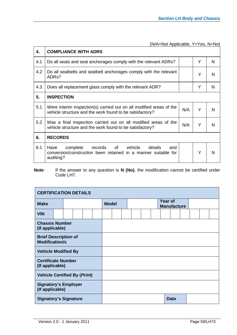| 4.  | <b>COMPLIANCE WITH ADRS</b>                                                                                                                   |     |   |   |  |  |  |  |  |  |
|-----|-----------------------------------------------------------------------------------------------------------------------------------------------|-----|---|---|--|--|--|--|--|--|
| 4.1 | Do all seats and seat anchorages comply with the relevant ADRs?                                                                               |     | Y | N |  |  |  |  |  |  |
| 4.2 | Do all seatbelts and seatbelt anchorages comply with the relevant<br>ADR <sub>s</sub> ?                                                       |     | Y | N |  |  |  |  |  |  |
| 4.3 | Y<br>N<br>Does all replacement glass comply with the relevant ADR?                                                                            |     |   |   |  |  |  |  |  |  |
| 5.  | <b>INSPECTION</b>                                                                                                                             |     |   |   |  |  |  |  |  |  |
| 5.1 | Were interim inspection(s) carried out on all modified areas of the<br>vehicle structure and the work found to be satisfactory?               | N/A | Y | N |  |  |  |  |  |  |
| 5.2 | Was a final inspection carried out on all modified areas of the<br>N/A<br>Y<br>vehicle structure and the work found to be satisfactory?       |     |   |   |  |  |  |  |  |  |
| 6.  | <b>RECORDS</b>                                                                                                                                |     |   |   |  |  |  |  |  |  |
| 6.1 | of<br>Have<br>complete<br>records<br>vehicle<br>details<br>and<br>conversion/construction been retained in a manner suitable for<br>auditing? |     | Y | N |  |  |  |  |  |  |

**Note**: If the answer to any question is **N (No)**, the modification cannot be certified under Code LH7.

| <b>CERTIFICATION DETAILS</b>                         |  |  |  |              |  |  |  |  |  |                               |  |             |  |  |  |  |  |
|------------------------------------------------------|--|--|--|--------------|--|--|--|--|--|-------------------------------|--|-------------|--|--|--|--|--|
| <b>Make</b>                                          |  |  |  | <b>Model</b> |  |  |  |  |  | Year of<br><b>Manufacture</b> |  |             |  |  |  |  |  |
| <b>VIN</b>                                           |  |  |  |              |  |  |  |  |  |                               |  |             |  |  |  |  |  |
| <b>Chassis Number</b><br>(If applicable)             |  |  |  |              |  |  |  |  |  |                               |  |             |  |  |  |  |  |
| <b>Brief Description of</b><br><b>Modification/s</b> |  |  |  |              |  |  |  |  |  |                               |  |             |  |  |  |  |  |
| <b>Vehicle Modified By</b>                           |  |  |  |              |  |  |  |  |  |                               |  |             |  |  |  |  |  |
| <b>Certificate Number</b><br>(If applicable)         |  |  |  |              |  |  |  |  |  |                               |  |             |  |  |  |  |  |
| <b>Vehicle Certified By (Print)</b>                  |  |  |  |              |  |  |  |  |  |                               |  |             |  |  |  |  |  |
| <b>Signatory's Employer</b><br>(If applicable)       |  |  |  |              |  |  |  |  |  |                               |  |             |  |  |  |  |  |
| <b>Signatory's Signature</b>                         |  |  |  |              |  |  |  |  |  |                               |  | <b>Date</b> |  |  |  |  |  |

 $\mathsf{r}$ 

 $\overline{\mathbf{r}}$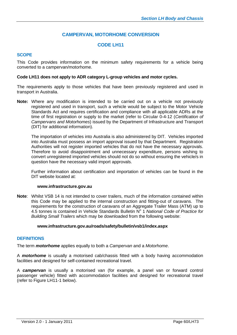# **CAMPERVAN, MOTORHOME CONVERSION**

## **CODE LH11**

## **SCOPE**

This Code provides information on the minimum safety requirements for a vehicle being converted to a campervan/motorhome.

#### **Code LH11 does not apply to ADR category L-group vehicles and motor cycles.**

The requirements apply to those vehicles that have been previously registered and used in transport in Australia.

**Note:** Where any modification is intended to be carried out on a vehicle not previously registered and used in transport, such a vehicle would be subject to the Motor Vehicle Standards Act and requires certification and compliance with all applicable ADRs at the time of first registration or supply to the market (refer to Circular 0-4-12 (*Certification of Campervans and Motorhomes*) issued by the Department of Infrastructure and Transport (DIT) for additional information).

The importation of vehicles into Australia is also administered by DIT. Vehicles imported into Australia must possess an import approval issued by that Department. Registration Authorities will not register imported vehicles that do not have the necessary approvals. Therefore to avoid disappointment and unnecessary expenditure, persons wishing to convert unregistered imported vehicles should not do so without ensuring the vehicle/s in question have the necessary valid import approvals.

Further information about certification and importation of vehicles can be found in the DIT website located at:

#### **www.infrastructure.gov.au**

**Note**: Whilst VSB 14 is not intended to cover trailers, much of the information contained within this Code may be applied to the internal construction and fitting-out of caravans. The requirements for the construction of caravans of an Aggregate Trailer Mass (ATM) up to 4.5 tonnes is contained in Vehicle Standards Bulletin N<sup>o</sup> 1 *National Code of Practice for Building Small Trailers* which may be downloaded from the following website:

#### **www.infrastructure.gov.au/roads/safety/bulletin/vsb1/index.aspx**

#### **DEFINITIONS**

The term *motorhome* applies equally to both a *Campervan* and a *Motorhome*.

A *motorhome* is usually a motorised cab/chassis fitted with a body having accommodation facilities and designed for self-contained recreational travel.

A *campervan* is usually a motorised van (for example, a panel van or forward control passenger vehicle) fitted with accommodation facilities and designed for recreational travel (refer to Figure LH11-1 below).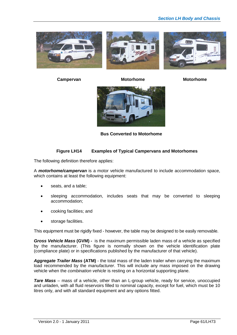





**Campervan Motorhome Motorhome**



**Bus Converted to Motorhome**

## **Figure LH14 Examples of Typical Campervans and Motorhomes**

The following definition therefore applies:

A *motorhome/campervan* is a motor vehicle manufactured to include accommodation space, which contains at least the following equipment:

- seats, and a table;
- sleeping accommodation, includes seats that may be converted to sleeping accommodation;
- cooking facilities; and
- storage facilities.

This equipment must be rigidly fixed - however, the table may be designed to be easily removable.

*Gross Vehicle Mass* **(GVM) -** is the maximum permissible laden mass of a vehicle as specified by the manufacturer. (This figure is normally shown on the vehicle identification plate (compliance plate) or in specifications published by the manufacturer of that vehicle).

*Aggregate Trailer Mass* **(ATM)** - the total mass of the laden trailer when carrying the maximum load recommended by the *manufacturer*. This will include any mass imposed on the drawing vehicle when the *combination vehicle* is resting on a horizontal supporting plane.

*Tare Mass* – mass of a vehicle, other than an L-group vehicle, ready for service, unoccupied and unladen, with all fluid reservoirs filled to nominal capacity, except for fuel, which must be 10 litres only, and with all standard equipment and any options fitted.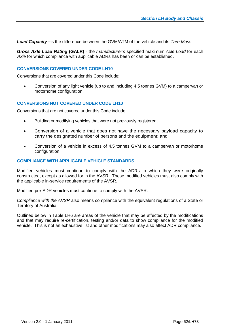*Load Capacity* **–**is the difference between the GVM/ATM of the vehicle and its *Tare Mass*.

*Gross Axle Load Rating* **(GALR)** - the *manufacturer's* specified maximum *Axle Load* for each *Axle* for which compliance with applicable ADRs has been or can be established.

### CONVERSIONS COVERED UNDER CODE LH10

Conversions that are covered under this Code include:

 Conversion of any light vehicle (up to and including 4.5 tonnes GVM) to a campervan or motorhome configuration.

## **CONVERSIONS NOT COVERED UNDER CODE LH10**

Conversions that are not covered under this Code include:

- Building or modifying vehicles that were not previously registered;
- Conversion of a vehicle that does not have the necessary payload capacity to carry the designated number of persons and the equipment; and
- Conversion of a vehicle in excess of 4.5 tonnes GVM to a campervan or motorhome configuration.

#### **COMPLIANCE WITH APPLICABLE VEHICLE STANDARDS**

Modified vehicles must continue to comply with the ADRs to which they were originally constructed, except as allowed for in the AVSR. These modified vehicles must also comply with the applicable in-service requirements of the AVSR.

Modified pre-ADR vehicles must continue to comply with the AVSR.

*Compliance with the AVSR* also means compliance with the equivalent regulations of a State or Territory of Australia.

Outlined below in Table LH6 are areas of the vehicle that may be affected by the modifications and that may require re-certification, testing and/or data to show compliance for the modified vehicle. This is not an exhaustive list and other modifications may also affect ADR compliance.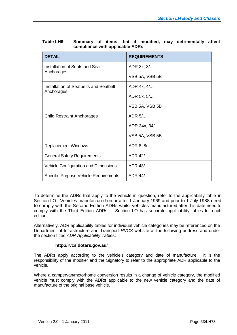| <b>DETAIL</b>                          | <b>REQUIREMENTS</b> |
|----------------------------------------|---------------------|
| Installation of Seats and Seat         | ADR 3x, 3/          |
| Anchorages                             | VSB 5A, VSB 5B      |
| Installation of Seatbelts and Seatbelt | ADR 4x, 4/          |
| Anchorages                             | ADR 5x, 5/          |
|                                        | VSB 5A, VSB 5B      |
| <b>Child Restraint Anchorages</b>      | ADR 5/              |
|                                        | ADR 34x, 34/        |
|                                        | VSB 5A, VSB 5B      |
| <b>Replacement Windows</b>             | ADR 8, 8/           |
| <b>General Safety Requirements</b>     | ADR 42/             |
| Vehicle Configuration and Dimensions   | ADR 43/             |
| Specific Purpose Vehicle Requirements  | ADR 44/             |

| <b>Table LH6</b> |                                 |  |  |  | Summary of items that if modified, may detrimentally affect |  |
|------------------|---------------------------------|--|--|--|-------------------------------------------------------------|--|
|                  | compliance with applicable ADRs |  |  |  |                                                             |  |

To determine the ADRs that apply to the vehicle in question, refer to the applicability table in Section LO. Vehicles manufactured on or after 1 January 1969 and prior to 1 July 1988 need to comply with the Second Edition ADRs whilst vehicles manufactured after this date need to comply with the Third Edition ADRs. Section LO has separate applicability tables for each edition.

Alternatively, ADR applicability tables for individual vehicle categories may be referenced on the Department of Infrastructure and Transport *RVCS* website at the following address and under the section titled *ADR Applicability Tables*:

## **http://rvcs.dotars.gov.au/**

The ADRs apply according to the vehicle's category and date of manufacture. It is the responsibility of the modifier and the Signatory to refer to the appropriate ADR applicable to the vehicle.

Where a campervan/motorhome conversion results in a change of vehicle category, the modified vehicle must comply with the ADRs applicable to the new vehicle category and the date of manufacture of the original base vehicle.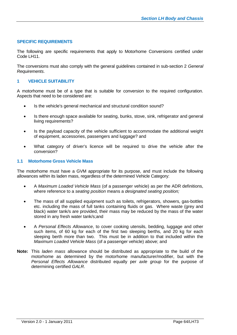## **SPECIFIC REQUIREMENTS**

The following are specific requirements that apply to Motorhome Conversions certified under Code LH11.

The conversions must also comply with the general guidelines contained in sub-section 2 *General Requirements*.

## **1 VEHICLE SUITABILITY**

A motorhome must be of a type that is suitable for conversion to the required configuration. Aspects that need to be considered are:

- Is the vehicle's general mechanical and structural condition sound?
- Is there enough space available for seating, bunks, stove, sink, refrigerator and general living requirements?
- Is the payload capacity of the vehicle sufficient to accommodate the additional weight of equipment, accessories, passengers and luggage? and
- What category of driver's licence will be required to drive the vehicle after the conversion?

#### **1.1 Motorhome Gross Vehicle Mass**

The motorhome must have a GVM appropriate for its purpose, and must include the following allowances within its laden mass, regardless of the determined Vehicle Category:

- A *Maximum Loaded Vehicle Mass* (of a passenger vehicle) as per the ADR definitions, where reference to a *seating position* means a *designated seating position;*
- The mass of all supplied equipment such as toilets, refrigerators, showers, gas-bottles etc. including the mass of full tanks containing fluids or gas. Where waste (grey and black) water tank/s are provided, their mass may be reduced by the mass of the water stored in any fresh water tank/s;and
- A *Personal Effects Allowance*, to cover cooking utensils, bedding, luggage and other such items, of 60 kg for each of the first two sleeping berths, and 20 kg for each sleeping berth more than two. This must be in addition to that included within the *Maximum Loaded Vehicle Mass* (of a passenger vehicle) above; and
- **Note:** This *laden mass* allowance should be distributed as appropriate to the build of the motorhome as determined by the motorhome manufacturer/modifier, but with the *Personal Effects Allowance* distributed equally per *axle group* for the purpose of determining certified *GALR*.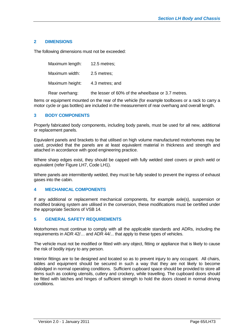## **2 DIMENSIONS**

The following dimensions must not be exceeded:

Maximum length: 12.5 metres; Maximum width: 2.5 metres; Maximum height: 4.3 metres; and Rear overhang: the lesser of 60% of the wheelbase or 3.7 metres.

Items or equipment mounted on the rear of the vehicle (for example toolboxes or a rack to carry a motor cycle or gas bottles) are included in the measurement of rear overhang and overall length.

## **3 BODY COMPONENTS**

Properly fabricated body components, including body panels, must be used for all new, additional or replacement panels.

Equivalent panels and brackets to that utilised on high volume manufactured motorhomes may be used, provided that the panels are at least equivalent material in thickness and strength and attached in accordance with good engineering practice.

Where sharp edges exist, they should be capped with fully welded steel covers or pinch weld or equivalent (refer Figure LH7, Code LH1).

Where panels are intermittently welded, they must be fully sealed to prevent the ingress of exhaust gases into the cabin.

## **4 MECHANICAL COMPONENTS**

If any additional or replacement mechanical components, for example axle(s), suspension or modified braking system are utilised in the conversion, these modifications must be certified under the appropriate Sections of VSB 14.

## **5 GENERAL SAFETY REQUIREMENTS**

Motorhomes must continue to comply with all the applicable standards and ADRs, including the requirements in ADR 42/… and ADR 44/... that apply to these types of vehicles.

The vehicle must not be modified or fitted with any object, fitting or appliance that is likely to cause the risk of bodily injury to any person.

Interior fittings are to be designed and located so as to prevent injury to any occupant. All chairs, tables and equipment should be secured in such a way that they are not likely to become dislodged in normal operating conditions. Sufficient cupboard space should be provided to store all items such as cooking utensils, cutlery and crockery, while travelling. The cupboard doors should be fitted with latches and hinges of sufficient strength to hold the doors closed in normal driving conditions.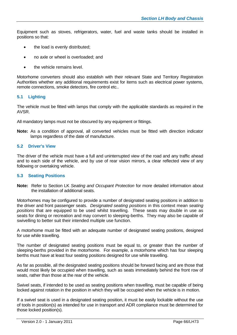Equipment such as stoves, refrigerators, water, fuel and waste tanks should be installed in positions so that:

- the load is evenly distributed;
- no axle or wheel is overloaded; and
- the vehicle remains level.

Motorhome converters should also establish with their relevant State and Territory Registration Authorities whether any additional requirements exist for items such as electrical power systems, remote connections, smoke detectors, fire control etc..

## **5.1 Lighting**

The vehicle must be fitted with lamps that comply with the applicable standards as required in the AVSR.

All mandatory lamps must not be obscured by any equipment or fittings.

**Note:** As a condition of approval, all converted vehicles must be fitted with direction indicator lamps regardless of the date of manufacture.

## **5.2 Driver's View**

The driver of the vehicle must have a full and uninterrupted view of the road and any traffic ahead and to each side of the vehicle, and by use of rear vision mirrors, a clear reflected view of any following or overtaking vehicle.

## **5.3 Seating Positions**

**Note:** Refer to Section LK *Seating and Occupant Protection* for more detailed information about the installation of additional seats.

Motorhomes may be configured to provide a number of designated seating positions in addition to the driver and front passenger seats. *Designated seating positions* in this context mean *seating positions* that are equipped to be used whilst travelling. These seats may double in use as seats for dining or recreation and may convert to sleeping-berths. They may also be capable of swivelling to better suit their intended multiple use function.

A motorhome must be fitted with an adequate number of designated seating positions, designed for use while travelling.

The number of designated seating positions must be equal to, or greater than the number of sleeping-berths provided in the motorhome. For example, a motorhome which has four sleeping berths must have at least four seating positions designed for use while travelling.

As far as possible, all the designated seating positions should be forward facing and are those that would most likely be occupied when travelling, such as seats immediately behind the front row of seats, rather than those at the rear of the vehicle.

Swivel seats, if intended to be used as seating positions when travelling, must be capable of being locked against rotation in the position in which they will be occupied when the vehicle is in motion.

If a swivel seat is used in a designated seating position, it must be easily lockable without the use of tools in position(s) as intended for use in transport and ADR compliance must be determined for those locked position(s).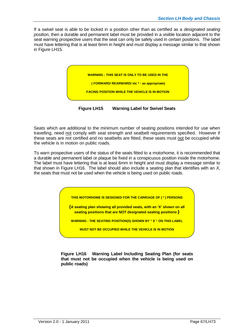If a swivel seat is able to be locked in a position other than as certified as a *designated seating position*, then a durable and permanent label must be provided in a visible location adjacent to the seat warning prospective users that the seat can only be safely used in certain positions. The label must have lettering that is at least 6mm in height and must display a message similar to that shown in Figure LH15.



**Figure LH15 Warning Label for Swivel Seats**

Seats which are additional to the minimum number of seating positions intended for use when travelling, need not comply with seat strength and seatbelt requirements specified. However if these seats are not certified and no seatbelts are fitted, these seats must not be occupied while the vehicle is in motion on public roads.

To warn prospective users of the status of the seats fitted to a motorhome, it is recommended that a durable and permanent label or plaque be fixed in a conspicuous position inside the motorhome. The label must have lettering that is at least 6mm in height and must display a message similar to that shown in Figure LH16. The label should also include a seating plan that identifies with an *X*, the seats that must not be used when the vehicle is being used on public roads.

**THIS MOTORHOME IS DESIGNED FOR THE CARRIAGE OF ( \* ) PERSONS**

**{A seating plan showing all provided seats, with an 'X' shown on all seating positions that are NOT designated seating positions }**

**WARNING : THE SEATING POSITION(S) SHOWN BY " X " ON THIS LABEL**

**MUST NOT BE OCCUPIED WHILE THE VEHICLE IS IN MOTION**

**Figure LH16 Warning Label Including Seating Plan (for seats that must not be occupied when the vehicle is being used on public roads)**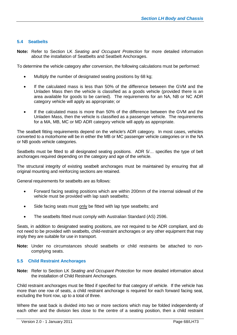## **5.4 Seatbelts**

**Note:** Refer to Section LK *Seating and Occupant Protection* for more detailed information about the installation of Seatbelts and Seatbelt Anchorages.

To determine the vehicle category after conversion, the following calculations must be performed:

- Multiply the number of designated seating positions by 68 kg;
- If the calculated mass is less than 50% of the difference between the GVM and the Unladen Mass then the vehicle is classified as a goods vehicle (provided there is an area available for goods to be carried). The requirements for an NA, NB or NC ADR category vehicle will apply as appropriate; or
- If the calculated mass is more than 50% of the difference between the GVM and the Unladen Mass, then the vehicle is classified as a passenger vehicle. The requirements for a MA, MB, MC or MD ADR category vehicle will apply as appropriate.

The seatbelt fitting requirements depend on the vehicle's ADR category. In most cases, vehicles converted to a motorhome will be in either the MB or MC passenger vehicle categories or in the NA or NB goods vehicle categories.

Seatbelts must be fitted to all designated seating positions. ADR 5/… specifies the type of belt anchorages required depending on the category and age of the vehicle.

The structural integrity of existing seatbelt anchorages must be maintained by ensuring that all original mounting and reinforcing sections are retained.

General requirements for seatbelts are as follows:

- Forward facing seating positions which are within 200mm of the internal sidewall of the vehicle must be provided with lap sash seatbelts;
- Side facing seats must only be fitted with lap type seatbelts; and
- The seatbelts fitted must comply with Australian Standard (AS) 2596.

Seats, in addition to designated seating positions, are not required to be ADR compliant, and do not need to be provided with seatbelts, child-restraint anchorages or any other equipment that may imply they are suitable for use in transport.

**Note:** Under no circumstances should seatbelts or child restraints be attached to noncomplying seats.

## **5.5 Child Restraint Anchorages**

**Note:** Refer to Section LK *Seating and Occupant Protection* for more detailed information about the installation of Child Restraint Anchorages.

Child restraint anchorages must be fitted if specified for that category of vehicle. If the vehicle has more than one row of seats, a child restraint anchorage is required for each forward facing seat, excluding the front row, up to a total of three.

Where the seat back is divided into two or more sections which may be folded independently of each other and the division lies close to the centre of a seating position, then a child restraint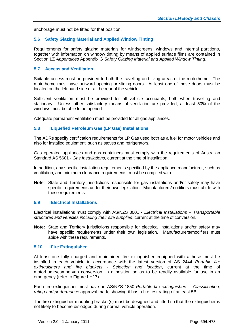anchorage must not be fitted for that position.

## **5.6 Safety Glazing Material and Applied Window Tinting**

Requirements for safety glazing materials for windscreens, windows and internal partitions, together with information on window tinting by means of applied surface films are contained in Section LZ *Appendices* Appendix G *Safety Glazing Material and Applied Window Tinting*.

## **5.7 Access and Ventilation**

Suitable access must be provided to both the travelling and living areas of the motorhome. The motorhome must have outward opening or sliding doors. At least one of these doors must be located on the left hand side or at the rear of the vehicle.

Sufficient ventilation must be provided for all vehicle occupants, both when travelling and stationary. Unless other satisfactory means of ventilation are provided, at least 50% of the windows must be able to be opened.

Adequate permanent ventilation must be provided for all gas appliances.

#### **5.8 Liquefied Petroleum Gas (LP Gas) Installations**

The ADRs specify certification requirements for LP Gas used both as a fuel for motor vehicles and also for installed equipment, such as stoves and refrigerators.

Gas operated appliances and gas containers must comply with the requirements of Australian Standard AS 5601 *- Gas Installations*, current at the time of installation.

In addition, any specific installation requirements specified by the appliance manufacturer, such as ventilation, and minimum clearance requirements, must be complied with.

**Note**: State and Territory jurisdictions responsible for gas installations and/or safety may have specific requirements under their own legislation. Manufacturers/modifiers must abide with these requirements.

#### **5.9 Electrical Installations**

Electrical installations must comply with AS/NZS 3001 - *Electrical Installations* – *Transportable structures and vehicles including their site supplies*, current at the time of conversion.

**Note:** State and Territory jurisdictions responsible for electrical installations and/or safety may have specific requirements under their own legislation. Manufacturers/modifiers must abide with these requirements.

#### **5.10 Fire Extinguisher**

At least one fully charged and maintained fire extinguisher equipped with a hose must be installed in each vehicle in accordance with the latest version of AS 2444 *Portable fire extinguishers and fire blankets - Selection and location*, current at the time of motorhome/campervan conversion, in a position so as to be readily available for use in an emergency (refer to Figure LH17).

Each fire extinguisher must have an AS/NZS 1850 *Portable fire extinguishers – Classification, rating and performance* approval mark, showing it has a fire test rating of at least 5B.

The fire extinguisher mounting bracket(s) must be designed and fitted so that the extinguisher is not likely to become dislodged during normal vehicle operation.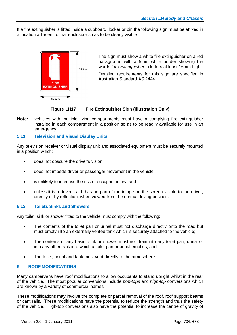If a fire extinguisher is fitted inside a cupboard, locker or bin the following sign must be affixed in a location adjacent to that enclosure so as to be clearly visible:



The sign must show a white fire extinguisher on a red background with a 5mm white border showing the words *Fire Extinguisher* in letters at least 16mm high.

Detailed requirements for this sign are specified in Australian Standard AS 2444.

## **Figure LH17 Fire Extinguisher Sign (Illustration Only)**

**Note:** vehicles with multiple living compartments must have a complying fire extinguisher installed in each compartment in a position so as to be readily available for use in an emergency.

## **5.11 Television and Visual Display Units**

Any television receiver or visual display unit and associated equipment must be securely mounted in a position which:

- does not obscure the driver's vision;
- does not impede driver or passenger movement in the vehicle;
- is unlikely to increase the risk of occupant injury; and
- unless it is a driver's aid, has no part of the image on the screen visible to the driver, directly or by reflection, when viewed from the normal driving position.

## **5.12 Toilets Sinks and Showers**

Any toilet, sink or shower fitted to the vehicle must comply with the following:

- The contents of the toilet pan or urinal must not discharge directly onto the road but must empty into an externally vented tank which is securely attached to the vehicle;
- The contents of any basin, sink or shower must not drain into any toilet pan, urinal or into any other tank into which a toilet pan or urinal empties; and
- The toilet, urinal and tank must vent directly to the atmosphere.

## **6 ROOF MODIFICATIONS**

Many campervans have roof modifications to allow occupants to stand upright whilst in the rear of the vehicle. The most popular conversions include *pop-tops* and *high-top* conversions which are known by a variety of commercial names.

These modifications may involve the complete or partial removal of the roof, roof support beams or cant rails. These modifications have the potential to reduce the strength and thus the safety of the vehicle. High-top conversions also have the potential to increase the centre of gravity of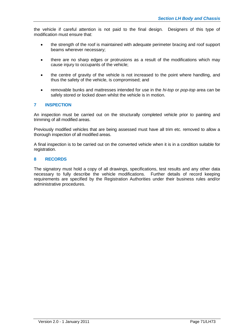the vehicle if careful attention is not paid to the final design. Designers of this type of modification must ensure that:

- the strength of the roof is maintained with adequate perimeter bracing and roof support beams wherever necessary;
- there are no sharp edges or protrusions as a result of the modifications which may cause injury to occupants of the vehicle;
- the centre of gravity of the vehicle is not increased to the point where handling, and thus the safety of the vehicle, is compromised; and
- removable bunks and mattresses intended for use in the *hi-top* or *pop-top* area can be safely stored or locked down whilst the vehicle is in motion.

## **7 INSPECTION**

An inspection must be carried out on the structurally completed vehicle prior to painting and trimming of all modified areas.

Previously modified vehicles that are being assessed must have all trim etc. removed to allow a thorough inspection of all modified areas.

A final inspection is to be carried out on the converted vehicle when it is in a condition suitable for registration.

## **8 RECORDS**

The signatory must hold a copy of all drawings, specifications, test results and any other data necessary to fully describe the vehicle modifications. Further details of record keeping requirements are specified by the Registration Authorities under their business rules and/or administrative procedures.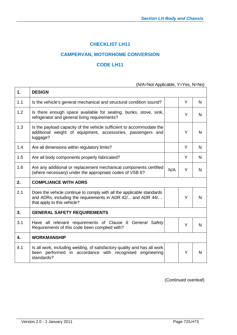# **CHECKLIST LH11**

# **CAMPERVAN, MOTORHOME CONVERSION**

# **CODE LH11**

(N/A=Not Applicable, Y=Yes, N=No)

| 1.  | <b>DESIGN</b>                                                                                                                                                       |     |   |              |
|-----|---------------------------------------------------------------------------------------------------------------------------------------------------------------------|-----|---|--------------|
| 1.1 | Is the vehicle's general mechanical and structural condition sound?                                                                                                 |     | Y | N            |
| 1.2 | Is there enough space available for seating, bunks, stove, sink,<br>refrigerator and general living requirements?                                                   |     | Y | N.           |
| 1.3 | Is the payload capacity of the vehicle sufficient to accommodate the<br>additional weight of equipment, accessories, passengers and<br>luggage?                     |     | Y | N            |
| 1.4 | Are all dimensions within regulatory limits?                                                                                                                        |     | Y | N            |
| 1.5 | Are all body components properly fabricated?                                                                                                                        |     | Y | N            |
| 1.6 | Are any additional or replacement mechanical components certified<br>(where necessary) under the appropriate codes of VSB 6?                                        | N/A | Y | N            |
| 2.  | <b>COMPLIANCE WITH ADRS</b>                                                                                                                                         |     |   |              |
| 2.1 | Does the vehicle continue to comply with all the applicable standards<br>and ADRs, including the requirements in ADR 42/ and ADR 44/<br>that apply to this vehicle? |     | Y | $\mathsf{N}$ |
| 3.  | <b>GENERAL SAFETY REQUIREMENTS</b>                                                                                                                                  |     |   |              |
| 3.1 | Have all relevant requirements of Clause 6 General Safety<br>Requirements of this code been complied with?                                                          |     | Y | N            |
| 4.  | <b>WORKMANSHIP</b>                                                                                                                                                  |     |   |              |
| 4.1 | Is all work, including welding, of satisfactory quality and has all work<br>been performed in accordance with recognised engineering<br>standards?                  |     | Y | $\mathsf{N}$ |

(Continued overleaf)